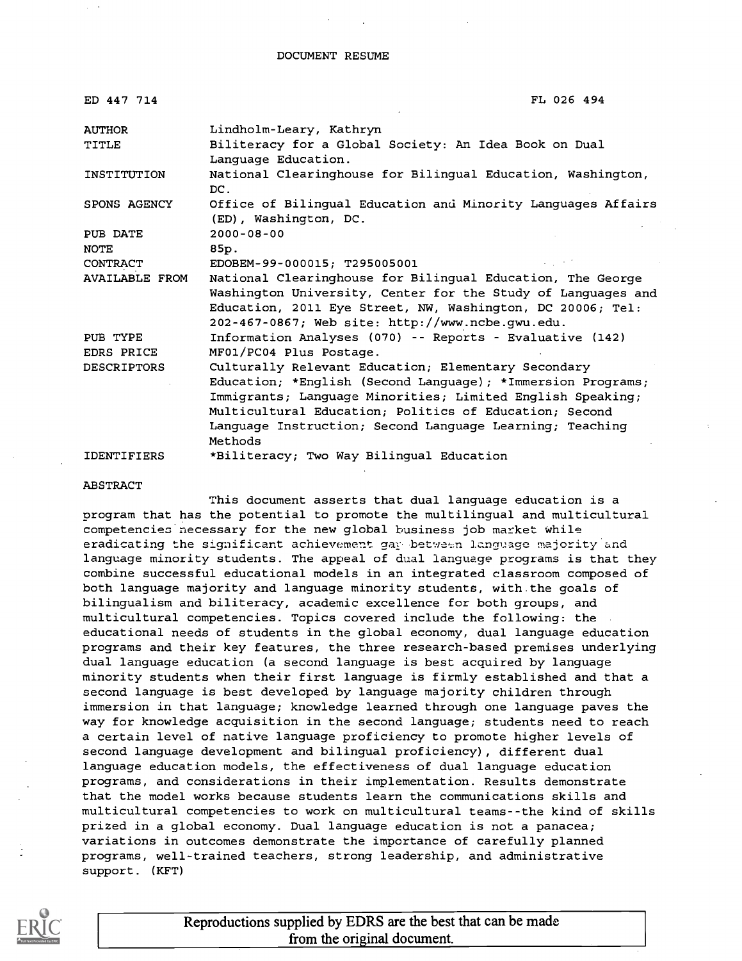DOCUMENT RESUME

| ED 447 714         | FL 026 494                                                                                                                                                                                                                                   |
|--------------------|----------------------------------------------------------------------------------------------------------------------------------------------------------------------------------------------------------------------------------------------|
| <b>AUTHOR</b>      | Lindholm-Leary, Kathryn                                                                                                                                                                                                                      |
| TITLE              | Biliteracy for a Global Society: An Idea Book on Dual<br>Language Education.                                                                                                                                                                 |
| INSTITUTION        | National Clearinghouse for Bilingual Education, Washington,<br>DC.                                                                                                                                                                           |
| SPONS AGENCY       | Office of Bilingual Education and Minority Languages Affairs<br>(ED), Washington, DC.                                                                                                                                                        |
| PUB DATE           | $2000 - 08 - 00$                                                                                                                                                                                                                             |
| <b>NOTE</b>        | 85p.                                                                                                                                                                                                                                         |
| <b>CONTRACT</b>    | EDOBEM-99-000015; T295005001                                                                                                                                                                                                                 |
| AVAILABLE FROM     | National Clearinghouse for Bilingual Education, The George<br>Washington University, Center for the Study of Languages and<br>Education, 2011 Eye Street, NW, Washington, DC 20006; Tel:<br>202-467-0867; Web site: http://www.ncbe.gwu.edu. |
| PUB TYPE           | Information Analyses (070) -- Reports - Evaluative (142)                                                                                                                                                                                     |
| EDRS PRICE         | MF01/PC04 Plus Postage.                                                                                                                                                                                                                      |
| <b>DESCRIPTORS</b> | Culturally Relevant Education; Elementary Secondary                                                                                                                                                                                          |
|                    | Education; *English (Second Language); *Immersion Programs;                                                                                                                                                                                  |
|                    | Immigrants; Language Minorities; Limited English Speaking;                                                                                                                                                                                   |
|                    | Multicultural Education; Politics of Education; Second                                                                                                                                                                                       |
|                    | Language Instruction; Second Language Learning; Teaching<br>Methods                                                                                                                                                                          |
| <b>IDENTIFIERS</b> | *Biliteracy; Two Way Bilingual Education                                                                                                                                                                                                     |

ABSTRACT

This document asserts that dual language education is a program that has the potential to promote the multilingual and multicultural competencies necessary for the new global business job market While eradicating the significant achievement gay between language majority and language minority students. The appeal of dual language programs is that they combine successful educational models in an integrated classroom composed of both language majority and language minority students, with.the goals of bilingualism and biliteracy, academic excellence for both groups, and multicultural competencies. Topics covered include the following: the educational needs of students in the global economy, dual language education programs and their key features, the three research-based premises underlying dual language education (a second language is best acquired by language minority students when their first language is firmly established and that a second language is best developed by language majority children through immersion in that language; knowledge learned through one language paves the way for knowledge acquisition in the second language; students need to reach a certain level of native language proficiency to promote higher levels of second language development and bilingual proficiency), different dual language education models, the effectiveness of dual language education programs, and considerations in their implementation. Results demonstrate that the model works because students learn the communications skills and multicultural competencies to work on multicultural teams--the kind of skills prized in a global economy. Dual language education is not a panacea; variations in outcomes demonstrate the importance of carefully planned programs, well-trained teachers, strong leadership, and administrative support. (KFT)



Reproductions supplied by EDRS are the best that can be made from the original document.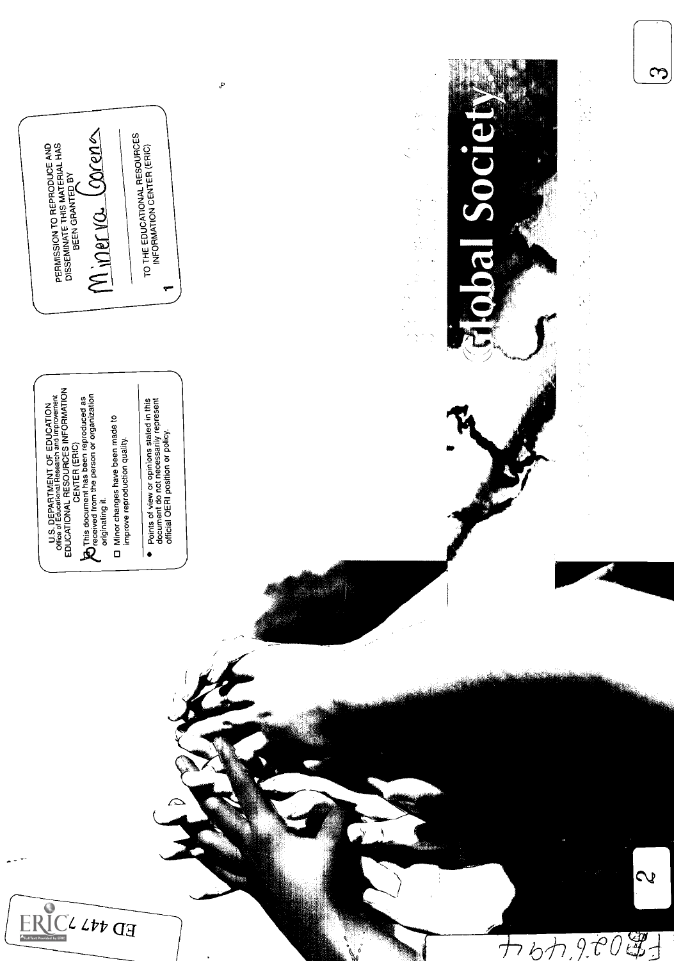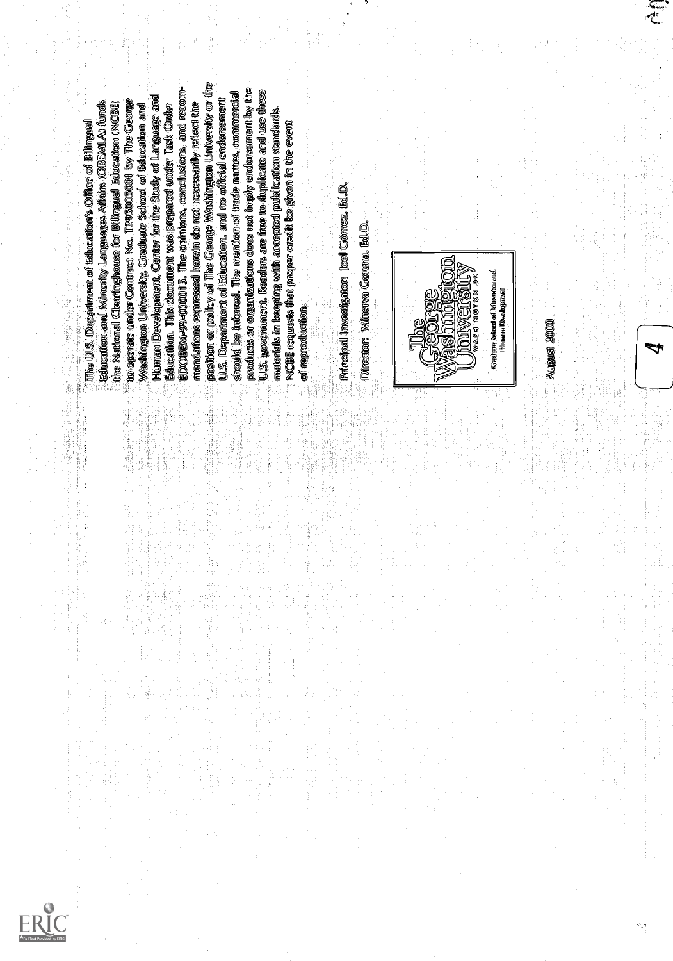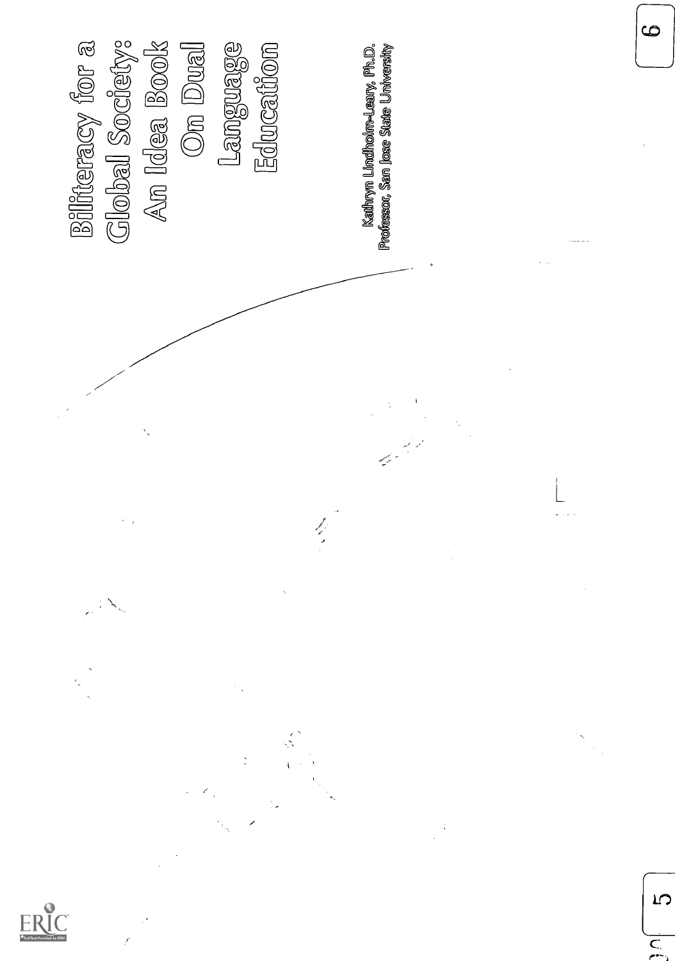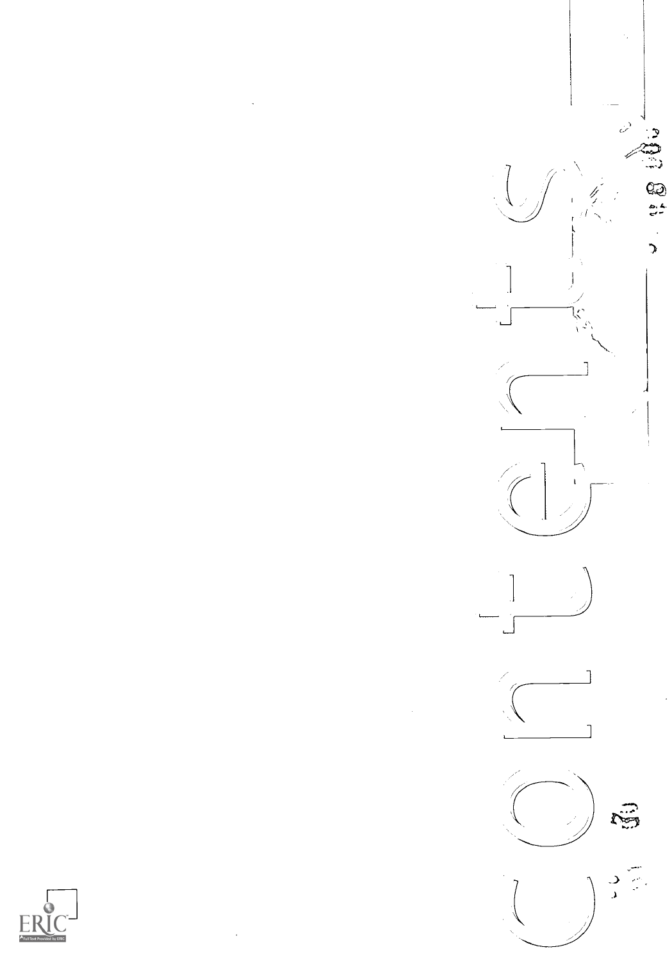

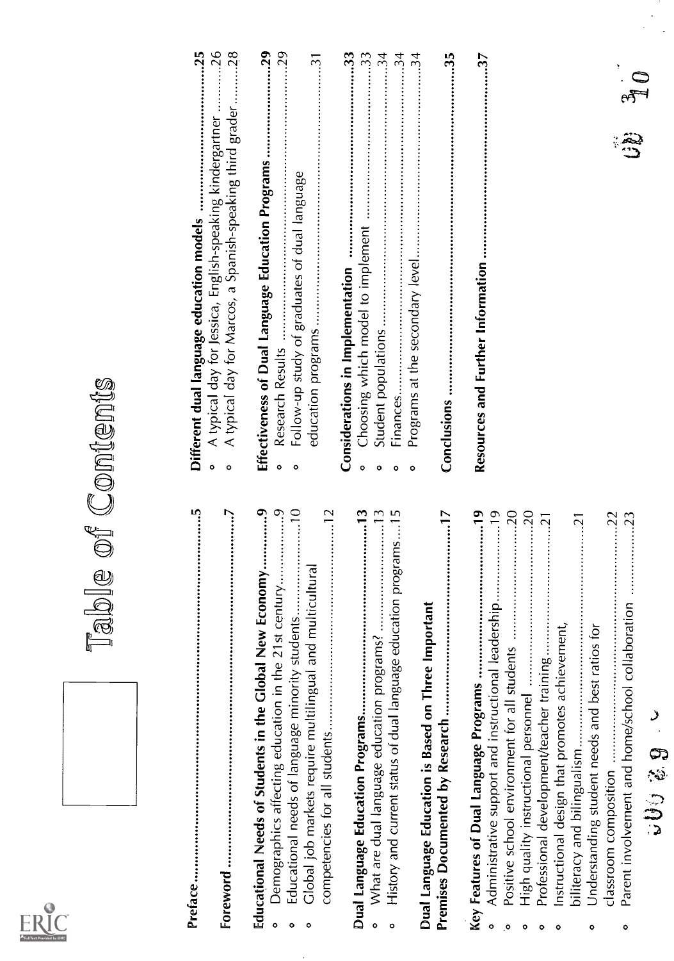



|  | Educational Needs of Students in the Clobal Now Economy |
|--|---------------------------------------------------------|
|  |                                                         |

| ه.<br>:<br>Educational Needs of Students in the Global New Economy |  |
|--------------------------------------------------------------------|--|
| ن<br>ن<br>Demographics affecting education in the 21st century     |  |
| $\frac{1}{2}$<br>Educational needs of language minority students   |  |
| Global job markets require multilingual and multicultural          |  |
| $\frac{1}{2}$                                                      |  |
|                                                                    |  |
| What are dual language education programs?                         |  |
| History and current status of dual language education programs15   |  |
| Dual Language Education is Based on Three Important                |  |
| 17                                                                 |  |
| Key Features of Dual Language Programs                             |  |
| 61<br>Administrative support and instructional leadership.         |  |
| $\dots 20$<br>Positive school environment for all students         |  |
| $\ldots$ 20<br>High quality instructional personnel                |  |
|                                                                    |  |

| ۰ | Administrative support and instructional leadership19 |  |
|---|-------------------------------------------------------|--|
| ٥ | Positive school environment for all students          |  |
| ٥ |                                                       |  |
| Ó |                                                       |  |
| ٥ | Instructional design that promotes achievement,       |  |
|   |                                                       |  |
| Ó | Understanding student needs and best ratios for       |  |
|   |                                                       |  |

| <u>1</u>                                                                                                                                                                                                                                                                                                                                                                                                                                                                                                        | A typical day for Jessica, English-speaking kindergartner 26<br>A typical day for Marcos, a Spanish-speaking third grader 28<br>$\ddot{\mathbf{o}}$<br>$\circ$ |
|-----------------------------------------------------------------------------------------------------------------------------------------------------------------------------------------------------------------------------------------------------------------------------------------------------------------------------------------------------------------------------------------------------------------------------------------------------------------------------------------------------------------|----------------------------------------------------------------------------------------------------------------------------------------------------------------|
| Educational needs of language minority students10<br>New Economy9<br>$\frac{1}{2}$<br>21st century9<br>Global job markets require multilingual and multicultural<br>Educational Needs of Students in the Global<br>Demographics affecting education in the<br>competencies for all students<br>۰<br>۰                                                                                                                                                                                                           | Effectiveness of Dual Language Education Programs 29<br>Follow-up study of graduates of dual language<br>education programs<br>Research Results<br>$\circ$     |
| History and current status of dual language education programs15<br>Dual Language Education Programs                                                                                                                                                                                                                                                                                                                                                                                                            | Considerations in Implementation with the construction of the construction of the Constant of Sandara Construction<br>$\mathbf{o}$                             |
| <u>  </u><br>Important<br>Dual Language Education is Based on Three<br>Premises Documented by Research                                                                                                                                                                                                                                                                                                                                                                                                          | ۰                                                                                                                                                              |
| Professional development/teacher training<br>Instructional design that promotes achievement,<br>Administrative support and instructional<br><b>Key Features of Dual Language Programs</b><br>High quality instructional personnel<br>biliteracy and bilingualism                                                                                                                                                                                                                                                |                                                                                                                                                                |
| $\cdots$ $\cdots$ $\cdots$ $\cdots$ $\cdots$ $\cdots$ $\cdots$ $\cdots$ $\cdots$ $\cdots$ $\cdots$ $\cdots$ $\cdots$ $\cdots$ $\cdots$ $\cdots$ $\cdots$ $\cdots$ $\cdots$ $\cdots$ $\cdots$ $\cdots$ $\cdots$ $\cdots$ $\cdots$ $\cdots$ $\cdots$ $\cdots$ $\cdots$ $\cdots$ $\cdots$ $\cdots$ $\cdots$ $\cdots$ $\cdots$ $\cdots$ $\cdots$<br>Parent involvement and home/school collaboration 23<br>$\frac{1}{2}$<br>Understanding student needs and best ratios for<br>ر<br>000 39<br>classroom composition | ्<br>लैं<br>j)<br>U                                                                                                                                            |
|                                                                                                                                                                                                                                                                                                                                                                                                                                                                                                                 |                                                                                                                                                                |
|                                                                                                                                                                                                                                                                                                                                                                                                                                                                                                                 |                                                                                                                                                                |

| o |  |
|---|--|
| ۰ |  |
|   |  |
|   |  |
|   |  |
|   |  |
|   |  |

370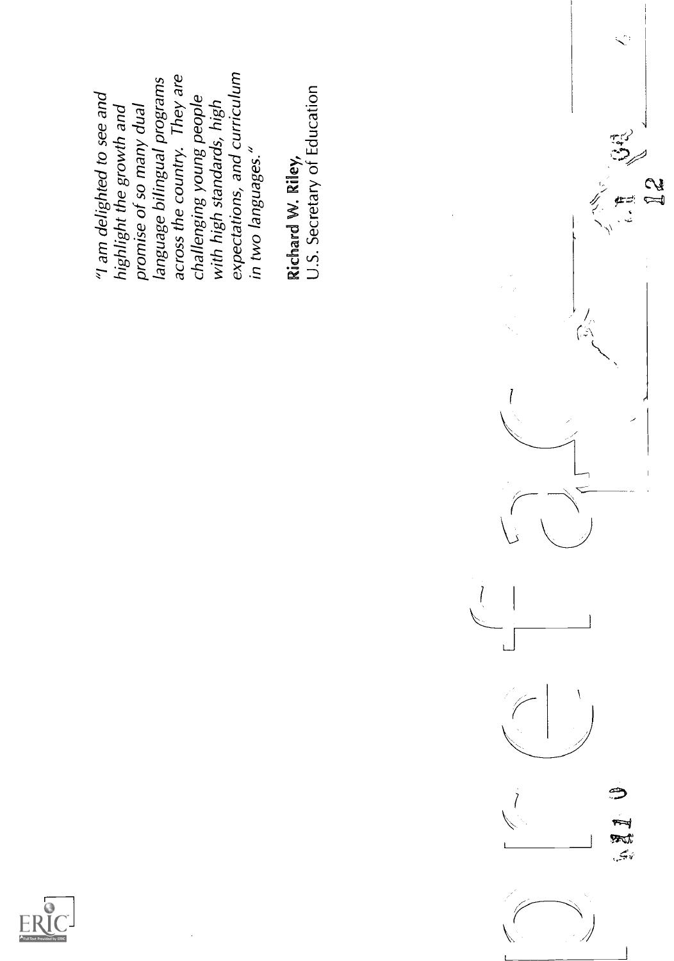

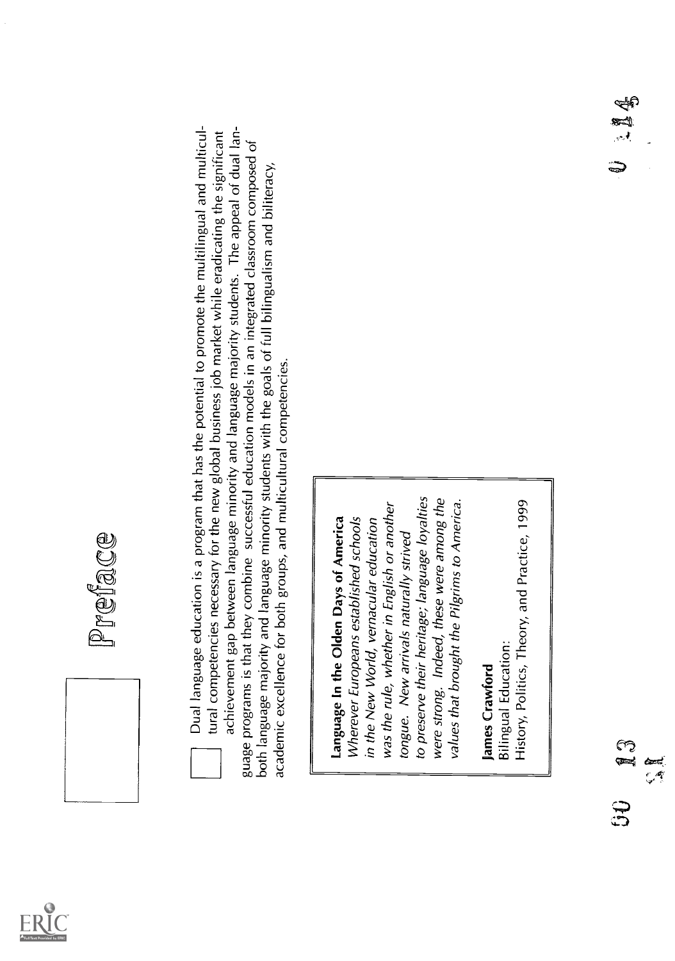



I ural anguage estacions is a originm hai has the potential to promote the multilingual and multicular<br>additional in the property contains and the potential contains the multilingual and multicular<br>ausge must be the prope



C)<br>C)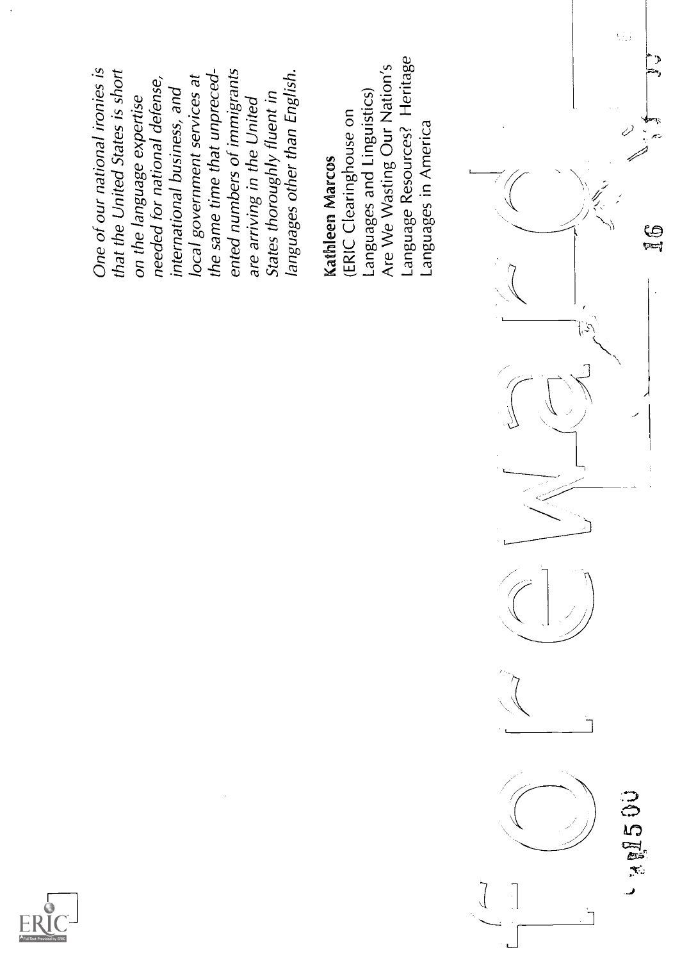



**LOS DE** 

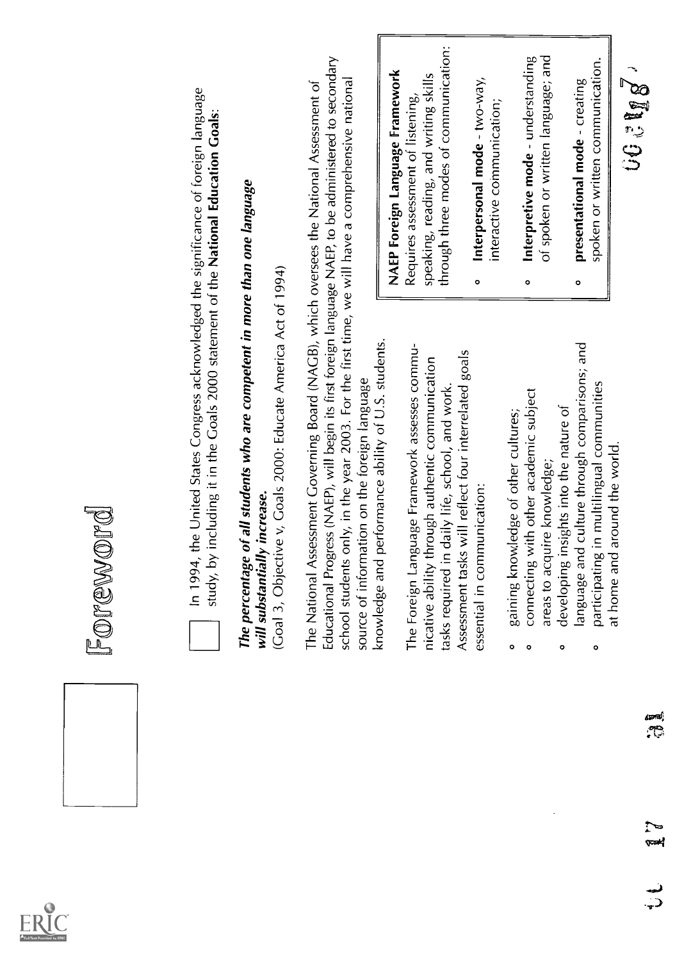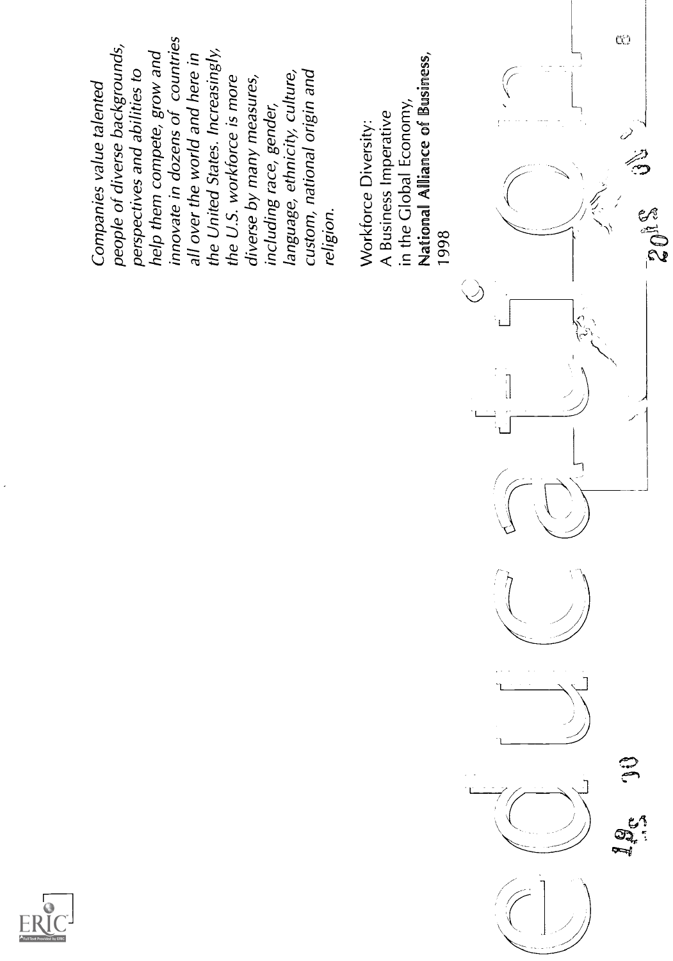Compared in solution of the proposition of the state of the state of the state of the state of the state of the state of the state of the state of the state of the state of the state of the state of the state of the state











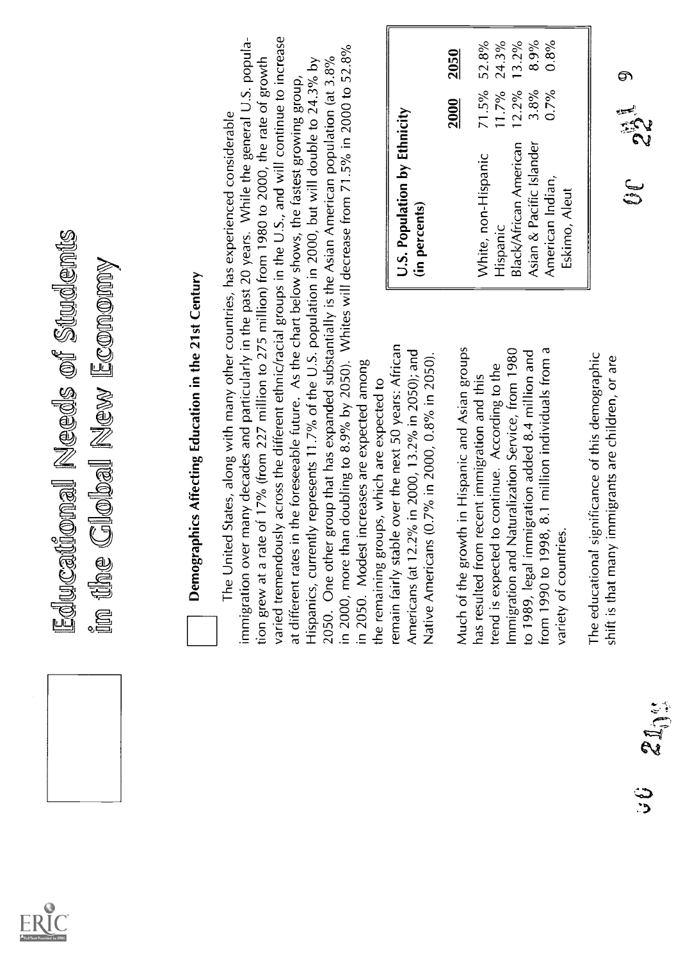

**Example 4** (and 1)  $\text{N}$  (e.g.  $\text{N}$  (and  $\text{N}$  (and  $\text{N}$  (and  $\text{N}$  (and  $\text{N}$  (and  $\text{N}$  (and  $\text{N}$  (and  $\text{N}$  (and  $\text{N}$  (and  $\text{N}$ )  $\text{N}$  (and  $\text{N}$ )  $\text{N}$  (and  $\text{N}$ )  $\text{N}$  (and  $\text{$ 

| U.S. Population by Ethnicity<br>(in percents)                                                                              |                                         |                                         |
|----------------------------------------------------------------------------------------------------------------------------|-----------------------------------------|-----------------------------------------|
|                                                                                                                            | 2000                                    | 2050                                    |
| Asian & Pacific Islander<br>Black/African American<br>White, non-Hispanic<br>American Indian,<br>Eskimo, Aleut<br>Hispanic | 71.5%<br>3.8%<br>11.7%<br>12.2%<br>0.7% | 8.9%<br>0.8%<br>52.8%<br>13.2%<br>24.3% |

ړ.<br>د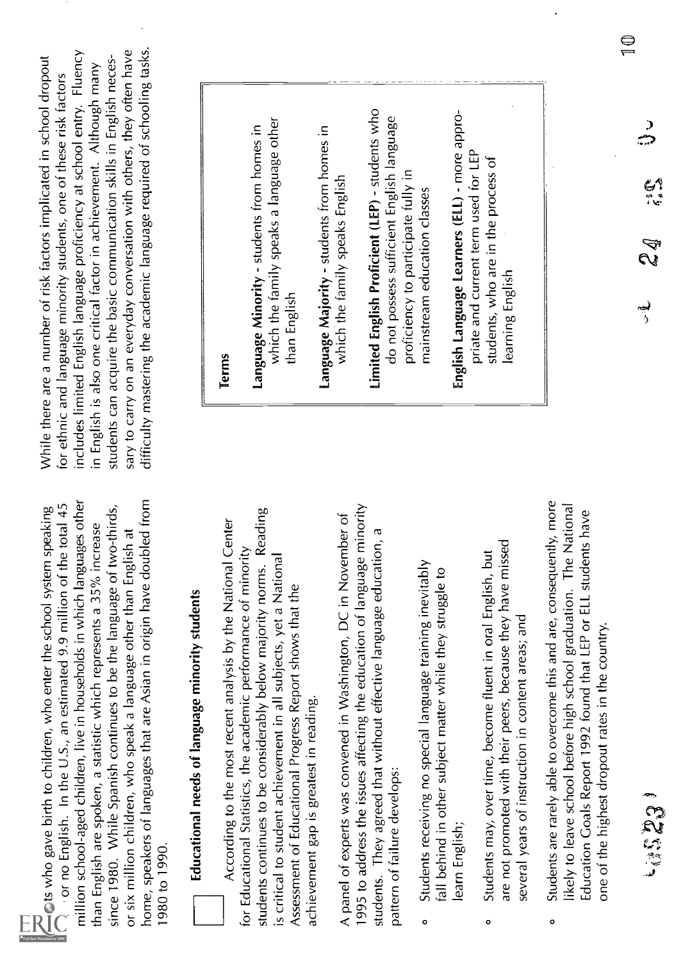- 
- 
- 

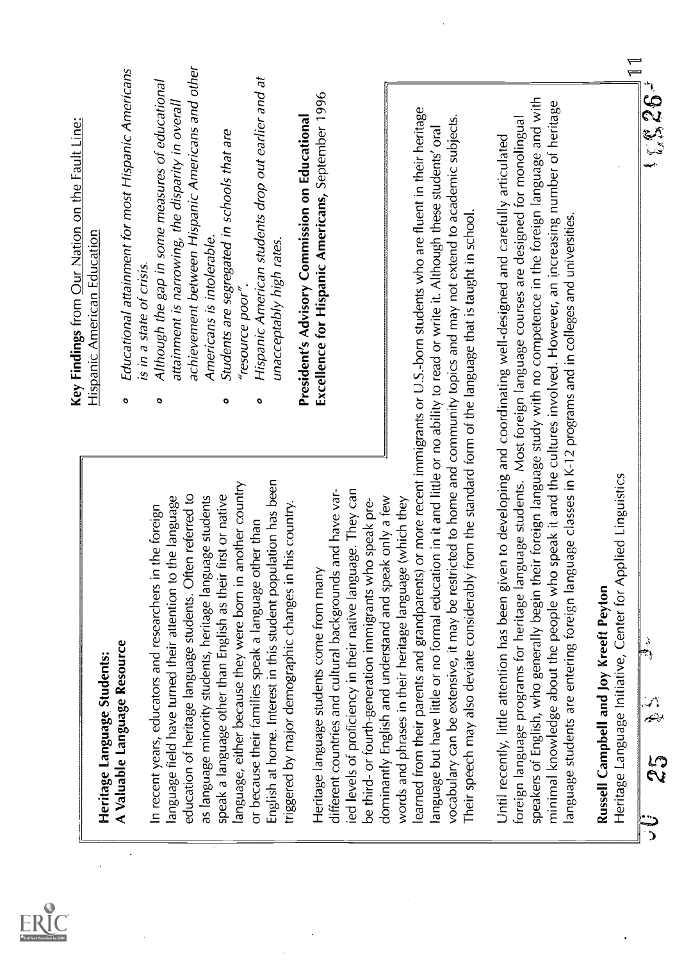| and researchers in the foreign<br>A Valuable Language Resource<br>In recent years, educators                                                      | achievement between Hispanic Americans and other<br>Educational attainment for most Hispanic Americans<br>Although the gap in some measures of educational<br>attainment is narrowing, the disparity in overall<br>Americans is intolerable.<br>is in a state of crisis.<br>$\circ$<br>۰ |
|---------------------------------------------------------------------------------------------------------------------------------------------------|------------------------------------------------------------------------------------------------------------------------------------------------------------------------------------------------------------------------------------------------------------------------------------------|
|                                                                                                                                                   |                                                                                                                                                                                                                                                                                          |
|                                                                                                                                                   |                                                                                                                                                                                                                                                                                          |
| language field have turned their attention to the language                                                                                        |                                                                                                                                                                                                                                                                                          |
| education of heritage language students. Often referred to<br>as language minority students, heritage language students                           |                                                                                                                                                                                                                                                                                          |
| speak a language other than English as their first or native                                                                                      | Students are segregated in schools that are<br>۰                                                                                                                                                                                                                                         |
| they were born in another country<br>language, either because t                                                                                   | "resource poor".                                                                                                                                                                                                                                                                         |
| English at home. Interest in this student population has been<br>or because their families speak a language other than                            | Hispanic American students drop out earlier and at<br>o                                                                                                                                                                                                                                  |
| triggered by major demographic changes in this country.                                                                                           | macceptably high rates.                                                                                                                                                                                                                                                                  |
|                                                                                                                                                   | President's Advisory Commission on Educational                                                                                                                                                                                                                                           |
| Heritage language students come from many                                                                                                         | Excellence for Hispanic Americans, September 1996                                                                                                                                                                                                                                        |
| different countries and cultural backgrounds and have var-                                                                                        |                                                                                                                                                                                                                                                                                          |
| ied levels of proficiency in their native language. They can                                                                                      |                                                                                                                                                                                                                                                                                          |
| be third- or fourth-generation immigrants who speak pre-                                                                                          |                                                                                                                                                                                                                                                                                          |
| dominantly English and understand and speak only a few                                                                                            |                                                                                                                                                                                                                                                                                          |
| words and phrases in their heritage language (which they                                                                                          |                                                                                                                                                                                                                                                                                          |
| learned from their parents                                                                                                                        | and grandparents) or more recent immigrants or U.S.-born students who are fluent in their heritage                                                                                                                                                                                       |
| language but have little or no formal education in it and little or no ability to read or write it. Although these students' oral                 |                                                                                                                                                                                                                                                                                          |
| vocabulary can be extensive, it may be restricted to home and community topics and may not extend to academic subjects.                           |                                                                                                                                                                                                                                                                                          |
| Their speech may also deviate considerably from the standard form of the language that is taught in school.                                       |                                                                                                                                                                                                                                                                                          |
| Until recently, little attention has been given to developing and coordinating well-designed and carefully articulated                            |                                                                                                                                                                                                                                                                                          |
| foreign language programs for heritage language students. Most foreign language courses are designed for monolingual                              |                                                                                                                                                                                                                                                                                          |
| speakers of English, who generally begin their foreign language study with no competence in the foreign language and with                         |                                                                                                                                                                                                                                                                                          |
| minimal knowledge about the people who speak it and the cultures involved. However, an increasing number of heritage<br>language students are ent | ering foreign language classes in K-12 programs and in colleges and universities.                                                                                                                                                                                                        |
|                                                                                                                                                   |                                                                                                                                                                                                                                                                                          |
| Heritage Language Initiative, Center for Applied Linguistics<br>Russell Campbell and Joy Kreeft Peyton                                            |                                                                                                                                                                                                                                                                                          |
| $\frac{1}{2}$<br><b>SS</b>                                                                                                                        | $\frac{1}{1}$<br>102231                                                                                                                                                                                                                                                                  |
|                                                                                                                                                   |                                                                                                                                                                                                                                                                                          |

 $\cdot$ 

 $\sum_{\lambda_{\text{full Test Prooted by EBC}}}$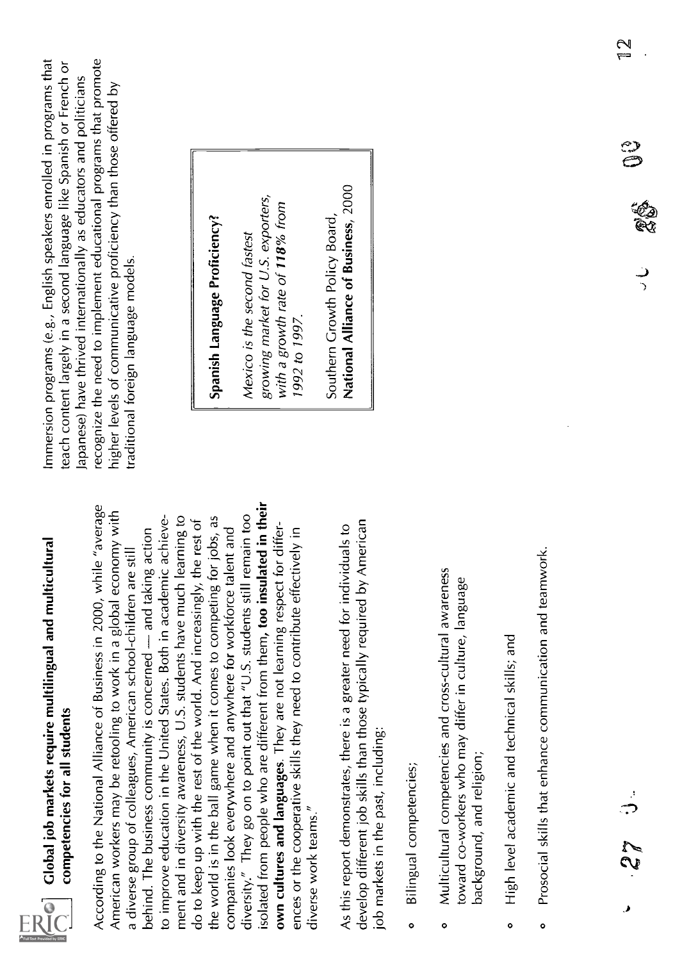

Global job markets require multilingual and multicultural competencies for all students According to the National Alliance of Business in 2000, while "average American workers may be retooling to work in a global economy with a diverse group of colleagues, American school-children are still behind. The business community is concerned and taking action to improve education in the United States. Both in academic achieve- ment and in diversity awareness, U.S. students have much learning to do to keep up with the rest of the world. And increasingly, the rest of the world is in the ball game when it comes to competing for jobs, as companies look everywhere and anywhere for workforce talent and diversity." They go on to point out that "U.S. students still remain too isolated from people who are different from them, too insulated in their own cultures and languages. They are not learning respect for differ- ences or the cooperative skills they need to contribute effectively in diverse work teams." As this report demonstrates, there is a greater need for individuals to develop different job skills than those typically required by American job markets in the past, including: Bilingual competencies; O Multicultural competencies and cross-cultural awareness toward co-workers who may differ in culture, language background, and religion; O High level academic and technical skills; and O Prosocial skills that enhance communication and teamwork. 27 Immersion programs (e.g., English speakers enrolled in programs that teach content largely in a second language like Spanish or French or Japanese) have thrived internationally as educators and politicians recognize the need to implement educational programs that promote higher levels of communicative proficiency than those offered by traditional foreign language models. Spanish Language Proficiency? Mexico is the second fastest growing market for U.S. exporters, with a growth rate of 118% from 1992 to 1997. Southern Growth Policy Board, National Alliance of Business, 2000 OQ, 12

- 
- 
- 
-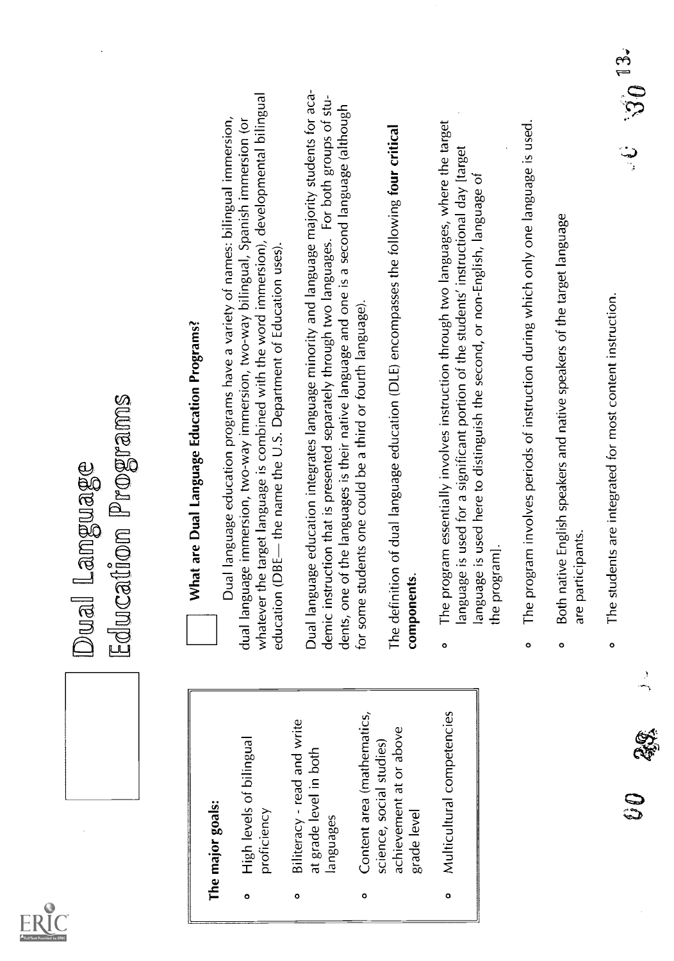| Full Text Provided by ERIC |
|----------------------------|



- 
- 
- 
- 

The major goals: High levels of bilingual proficiency Biliteracy read and write at grade level in both languages Content area (mathematics, science, social studies) achievement at or above grade level Multicultural competencies DamE1 agig Educatkm PrOgrraom What are Dual Language Education Programs? Dual language education programs have a variety of names: bilingual immersion, dual language immersion, two-way immersion, two-way bilingual, Spanish immersion (or whatever the target language is combined with the word immersion), developmental bilingual education (DBE the name the U.S. Department of Education uses). Dual language education integrates language minority and language majority students for aca- demic instruction that is presented separately through two languages. For both groups of stu- dents, one of the languages is their native language and one is a second language (although for some students one could be a third or fourth language). The definition of dual language education (DLE) encompasses the following four critical components. The program essentially involves instruction through two languages, where the target language is used for a significant portion of the students' instructional day [target language is used here to distinguish the second, or non-English, language of the program]. The program involves periods of instruction during which only one language is used. Both native English speakers and native speakers of the target language are participants. O The students are integrated for most content instruction. '30113'

- 
- 
- 
- 



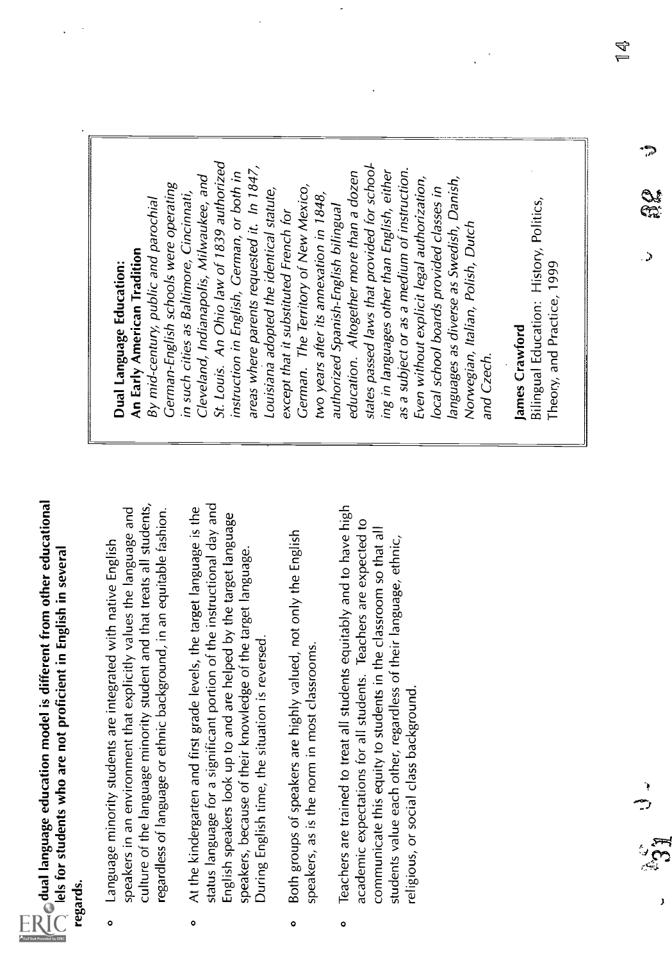- 
- 
- 
- 

 $\Gamma_{\rm e}$  and the proposition of the proposition of the continues of the continues of the state of the state of the state of the state of the state of the state of the state of the state of the state of the state of the s

14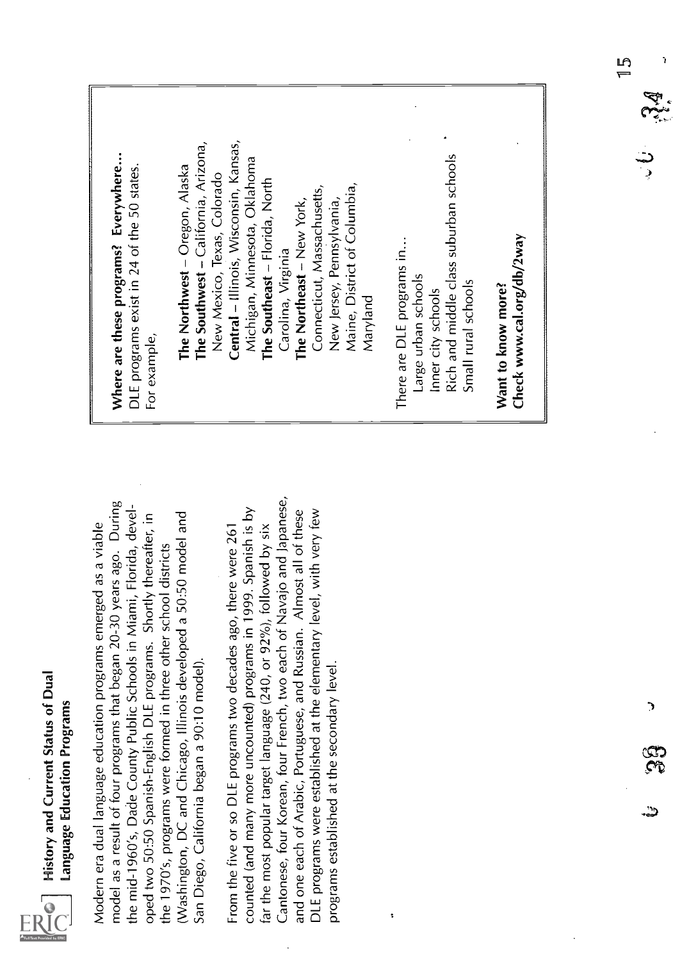

 $\frac{1}{\sqrt{2}}$  Hanga and Dual Data (b) and Dual Universe the proposed in the second second services.<br>
he and the second in the second second in the second second in the second second services.<br>
We also the second in the sec

ل<br>پېرې<br>پېړۍ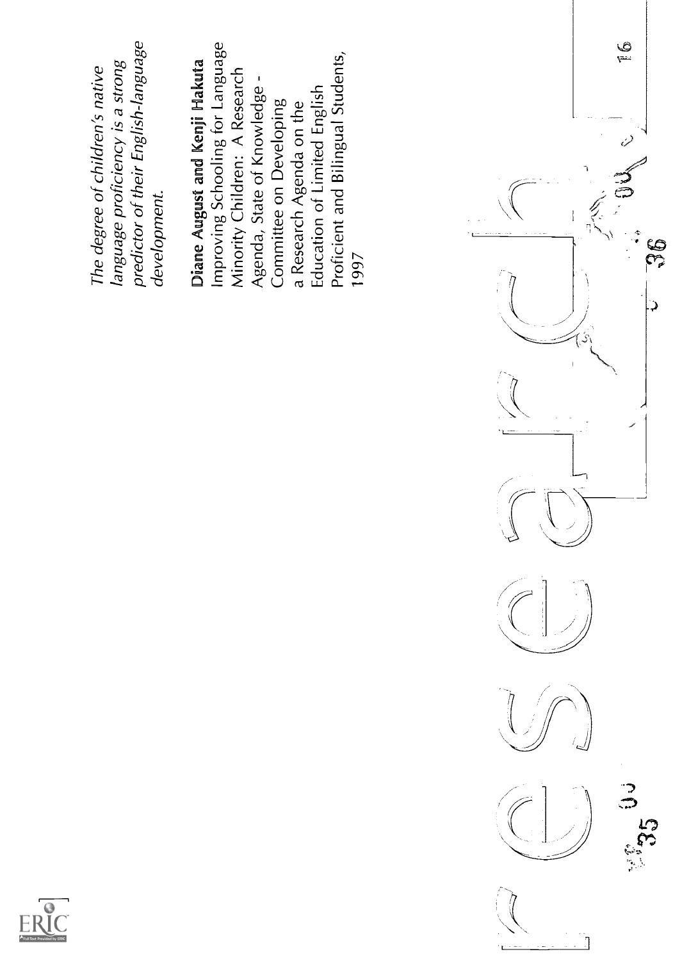













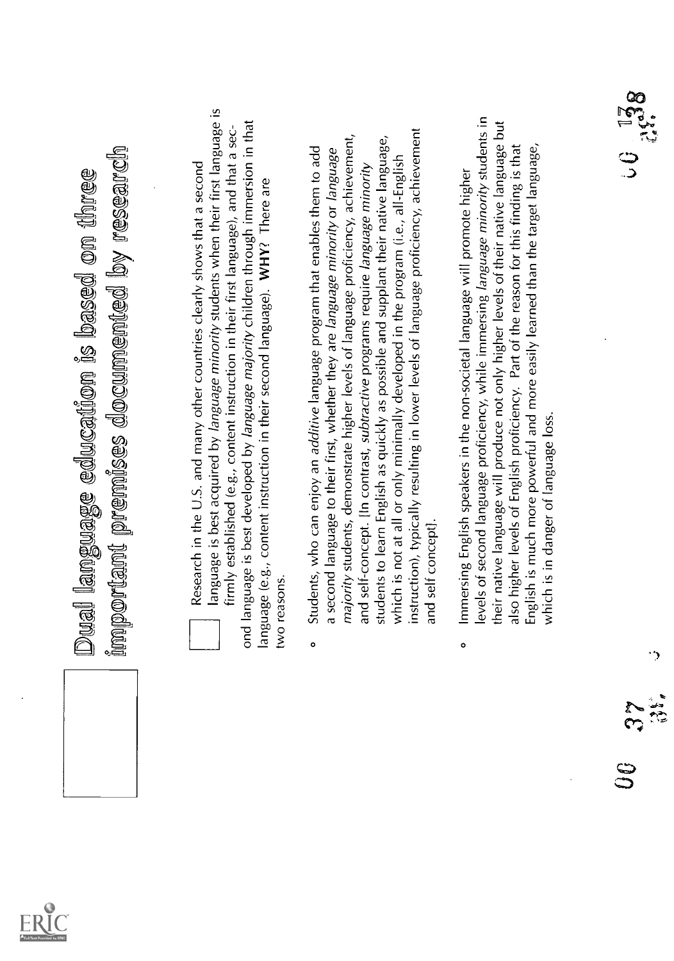| important prenses documentos de arriva<br>Dual language education is based on three | language is best acquired by language minority students when their first language is<br>ond language is best developed by <i>language majority</i> children through immersion in that<br>firmly established (e.g., content instruction in their first language), and that a sec-<br>Research in the U.S. and many other countries clearly shows that a second<br>language (e.g., content instruction in their second language). WHY? There are<br>two reasons | instruction), typically resulting in lower levels of language proficiency, achievement<br>majority students, demonstrate higher levels of language proficiency, achievement,<br>students to learn English as quickly as possible and supplant their native language,<br>Students, who can enjoy an additive language program that enables them to add<br>a second language to their first, whether they are language minority or language<br>which is not at all or only minimally developed in the program (i.e., all-English<br>and self-concept. Iln contrast, subtractive programs require language minority<br>and self concept<br>$\circ$ | levels of second language proficiency, while immersing <i>language minority</i> students in<br>their native language will produce not only higher levels of their native language but<br>also higher levels of English proficiency. Part of the reason for this finding is that<br>English is much more powerful and more easily learned than the target language,<br>Immersing English speakers in the non-societal language will promote higher<br>which is in danger of language loss<br>$\circ$ | $U_{i}^{13}$<br>۰, |
|-------------------------------------------------------------------------------------|---------------------------------------------------------------------------------------------------------------------------------------------------------------------------------------------------------------------------------------------------------------------------------------------------------------------------------------------------------------------------------------------------------------------------------------------------------------|-------------------------------------------------------------------------------------------------------------------------------------------------------------------------------------------------------------------------------------------------------------------------------------------------------------------------------------------------------------------------------------------------------------------------------------------------------------------------------------------------------------------------------------------------------------------------------------------------------------------------------------------------|-----------------------------------------------------------------------------------------------------------------------------------------------------------------------------------------------------------------------------------------------------------------------------------------------------------------------------------------------------------------------------------------------------------------------------------------------------------------------------------------------------|--------------------|
|                                                                                     |                                                                                                                                                                                                                                                                                                                                                                                                                                                               |                                                                                                                                                                                                                                                                                                                                                                                                                                                                                                                                                                                                                                                 |                                                                                                                                                                                                                                                                                                                                                                                                                                                                                                     |                    |

 $\mathbb{S}$ 

 $\frac{1}{\sqrt{2}}$ 

 $\sum_{\lambda_{\text{full Test Prooted by EBC}}}$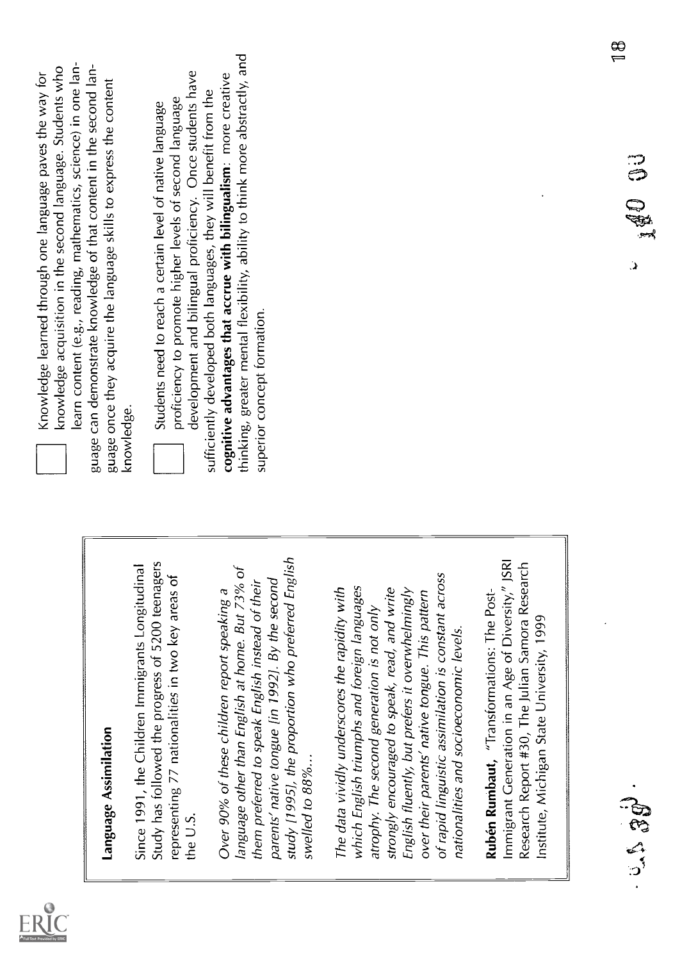

Language Assimilation<br>Language Assimilation<br>Since 1991, the Children Immigrants Longitudinal<br>Since 1991, the Children report speaking a<br>Study has followed the progress of 5200 teenages<br>Study has followed the progress in tw

From the set of the strength of the strength of the strength of the strength of the strength of the strength of the strength of the strength of the strength of the strength of the strength of the strength of the strength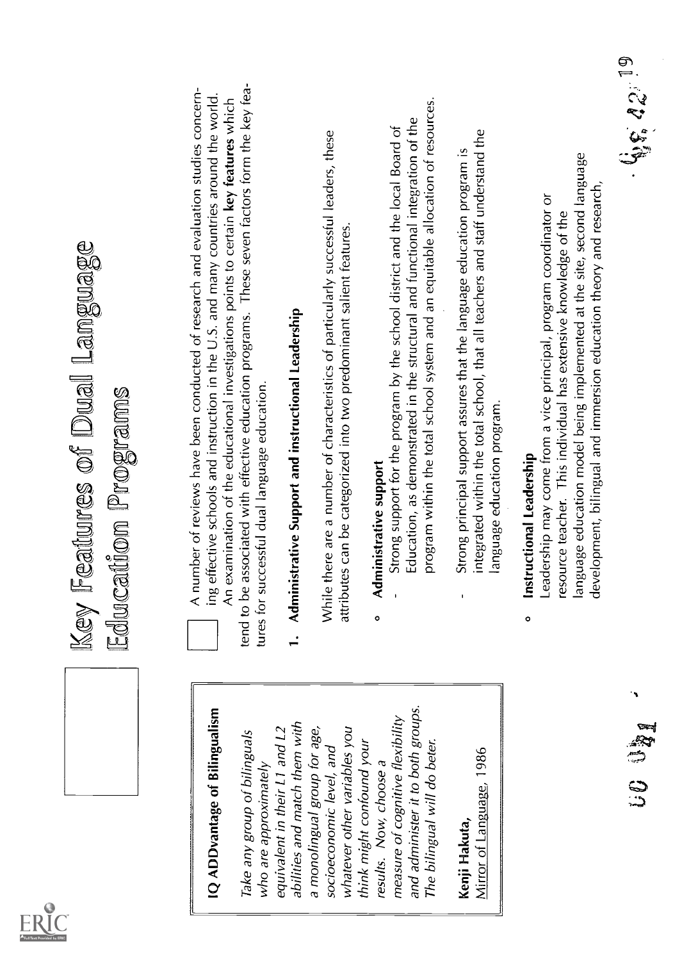| Full Text Provided by ERIC |  |
|----------------------------|--|

IQ ADDvantage of Bilingualism Take any group of bilinguals who are approximately equivalent in their L 1 and L2 abilities and match them with a monolingual group for age, socioeconomic level, and whatever other variables you think might confound your results. Now, choose a measure of cognitive flexibility and administer it to both groups. The bilingual will do beter. Kenji Hakuta, Mirror of Language, 1986 Key Featunoe of IDa ai Educatiion Filaograum Tguage too A number of reviews have been conducted of research and evaluation studies concern- ing effective schools and instruction in the U.S. and many countries around the world. An examination of the educational investigations points to certain key features which tend to be associated with effective education programs. These seven factors form the key fea- tures for successful dual language education. 1. Administrative Support and instructional Leadership While there are a number of characteristics of particularly successful leaders, these attributes can be categorized into two predominant salient features. Administrative support Strong support for the program by the school district and the local Board of Education, as demonstrated in the structural and functional integration of the program within the total school system and an equitable allocation of resources. Strong principal support assures that the language education program is integrated within the total school, that all teachers and staff understand the language education program. Instructional Leadership Leadership may come from a vice principal, program coordinator or resource teacher. This individual has extensive knowledge of the language education model being implemented at the site, second language development, bilingual and immersion education theory and research,

- 
-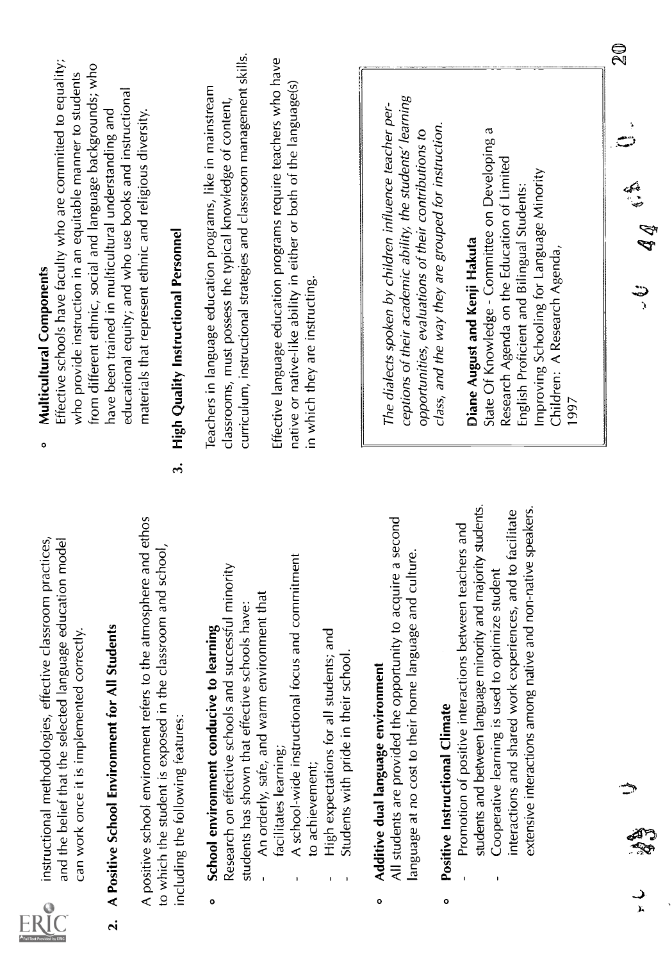| Full Text Provided by ERIC |
|----------------------------|

**instructional methodologies, effective classroom practices,** and the belief that the selected language education model can work once it is implemented correctly.<br>Can work once it is implemented correctly.<br>A Positive Schoo

- 
- 
- -
- -

- 
- 

2. A Positive School Environment for All Students A positive school environment refers to the atmosphere and ethos to which the student is exposed in the classroom and school, including the following features: School environment conducive to learning Research on effective schools and successful minority students has shown that effective schools have: An orderly, safe, and warm environment that facilitates learning; A school-wide instructional focus and commitment to achievement; High expectations for all students; and Students with pride in their school. O Additive dual language environment All students are provided the opportunity to acquire a second language at no cost to their home language and culture. O Positive Instructional Climate Promotion of positive interactions between teachers and students and between language minority and majority students. Cooperative learning is used to optimize student interactions and shared work experiences, and to facilitate extensive interactions among native and non-native speakers. Multicultural Components Effective schools have faculty who are committed to equality; who provide instruction in an equitable manner to students from different ethnic, social and language backgrounds; who have been trained in multicultural understanding and educational equity; and who use books and instructional materials that represent ethnic and religious diversity. 3. High Quality Instructional Personnel Teachers in language education programs, like in mainstream classrooms, must possess the typical knowledge of content, curriculum, instructional strategies and classroom management skills. Effective language education programs require teachers who have native or native-like ability in either or both of the language(s) in which they are instructing. The dialects spoken by children influence teacher per- ceptions of their academic ability, the students' learning opportunities, evaluations of their contributions to class, and the way they are grouped for instruction. Diane August and Kenji Hakuta State Of Knowledge Committee on Developing a Research Agenda on the Education of Limited English Proficient and Bilingual Students: Improving Schooling for Language Minority Children: A Research Agenda, 1997 (lj 4 4 2©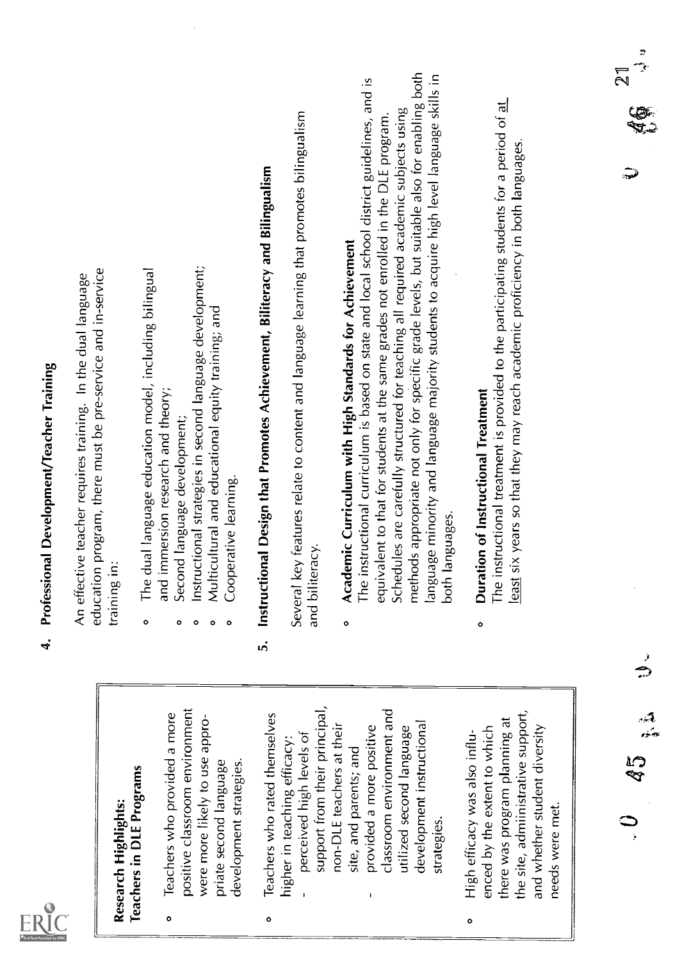

- 
- 
- -
- 

ر<br>دیگر

- 
- 
- 
- 
- 

 $\label{eq:2} \begin{tabular}{|c|c|} \hline \multicolumn{3}{|c|}{\hline \multicolumn{3}{|c|}{\hline \multicolumn{3}{|c|}{\hline \multicolumn{3}{|c|}{\hline \multicolumn{3}{|c|}{\hline \multicolumn{3}{|c|}{\hline \multicolumn{3}{|c|}{\hline \multicolumn{3}{|c|}{\hline \multicolumn{3}{|c|}{\hline \multicolumn{3}{|c|}{\hline \multicolumn{3}{|c|}{\hline \multicolumn{3}{|c|}{\hline \multicolumn{3}{|c|}{\hline \multicolumn{3}{|c|}{\hline \mult$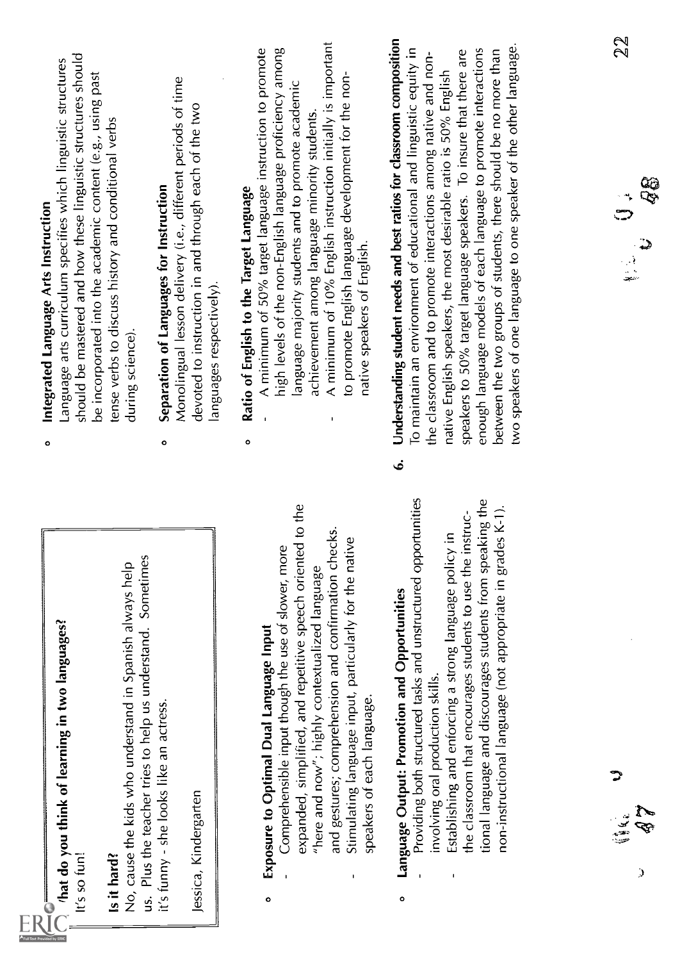|                                                                                                                                                                                                                                                                                                                                                                                                          | Integrated Language Arts Instruction<br>۰                                                                                                                                                                                                                                                                                                                                                                                                                                                                                                                                  |
|----------------------------------------------------------------------------------------------------------------------------------------------------------------------------------------------------------------------------------------------------------------------------------------------------------------------------------------------------------------------------------------------------------|----------------------------------------------------------------------------------------------------------------------------------------------------------------------------------------------------------------------------------------------------------------------------------------------------------------------------------------------------------------------------------------------------------------------------------------------------------------------------------------------------------------------------------------------------------------------------|
| ges?<br>that do you think of learning in two langua<br>It's so fun!                                                                                                                                                                                                                                                                                                                                      | should be mastered and how these linguistic structures should<br>anguage arts curriculum specifies which linguistic structures                                                                                                                                                                                                                                                                                                                                                                                                                                             |
| Plus the teacher tries to help us understand. Sometimes<br>No, cause the kids who understand in Spanish always help<br>Is it hard?                                                                                                                                                                                                                                                                       | be incorporated into the academic content (e.g., using past<br>tense verbs to discuss history and conditional verbs<br>during science).                                                                                                                                                                                                                                                                                                                                                                                                                                    |
| it's funny - she looks like an actress.                                                                                                                                                                                                                                                                                                                                                                  | Monolingual lesson delivery (i.e., different periods of time<br>Separation of Languages for Instruction<br>$\bullet$                                                                                                                                                                                                                                                                                                                                                                                                                                                       |
| Jessica, Kindergarten                                                                                                                                                                                                                                                                                                                                                                                    | devoted to instruction in and through each of the two<br>languages respectively).                                                                                                                                                                                                                                                                                                                                                                                                                                                                                          |
| expanded, simplified, and repetitive speech oriented to the<br>and gestures; comprehension and confirmation checks.<br>arly for the native<br>Comprehensible input though the use of slower, more<br>"here and now"; highly contextualized language<br>Exposure to Optimal Dual Language Input<br>Stimulating language input, particul<br>speakers of each language.                                     | A minimum of 10% English instruction initially is important<br>high levels of the non-English language proficiency among<br>A minimum of 50% target language instruction to promote<br>to promote English language development for the non-<br>language majority students and to promote academic<br>achievement among language minority students.<br>Ratio of English to the Target Language<br>native speakers of English.<br>$\circ$                                                                                                                                    |
| Providing both structured tasks and unstructured opportunities<br>tional language and discourages students from speaking the<br>non-instructional language (not appropriate in grades K-1).<br>the classroom that encourages students to use the instruc-<br>Establishing and enforcing a strong language policy in<br>Language Output: Promotion and Opportunities<br>involving oral production skills. | Understanding student needs and best ratios for classroom composition<br>two speakers of one language to one speaker of the other language.<br>To maintain an environment of educational and linguistic equity in<br>enough language models of each language to promote interactions<br>between the two groups of students, there should be no more than<br>speakers to 50% target language speakers. To insure that there are<br>the classroom and to promote interactions among native and non-<br>native English speakers, the most desirable ratio is 50% English<br>ق |
| Э                                                                                                                                                                                                                                                                                                                                                                                                        | 22<br><b>RB</b>                                                                                                                                                                                                                                                                                                                                                                                                                                                                                                                                                            |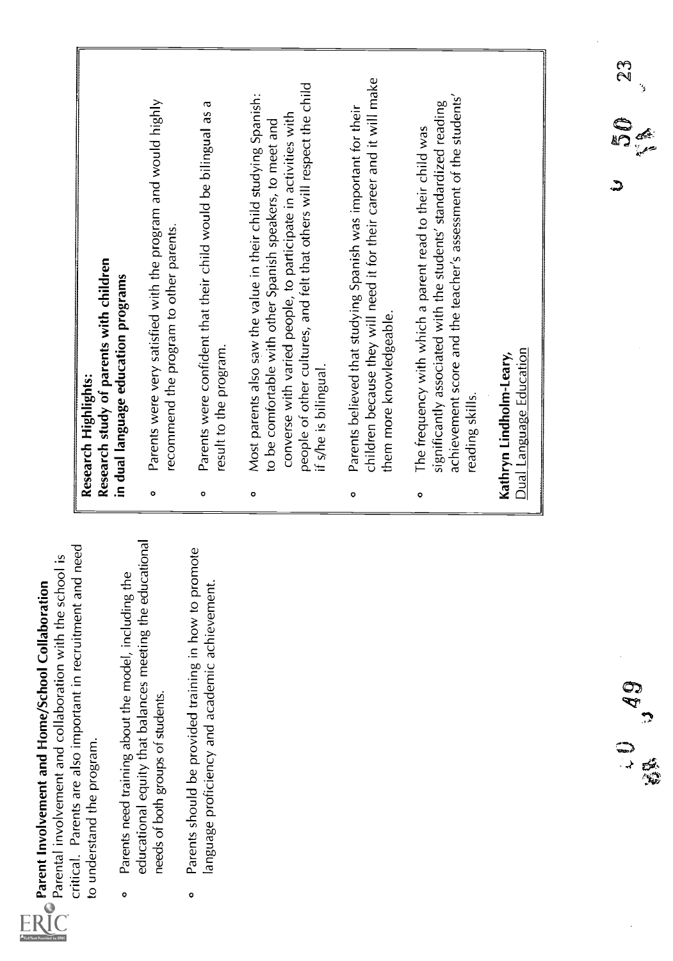| Parents were very satisfied with the program and would highly<br>significantly associated with the students' standardized reading<br>Parents were confident that their child would be bilingual as a<br>Parents believed that studying Spanish was important for their<br>converse with varied people, to participate in activities with<br>to be comfortable with other Spanish speakers, to meet and<br>5D<br>D<br>The frequency with which a parent read to their child was<br>د<br>recommend the program to other parents.<br>them more knowledgeable.<br>result to the program.<br>Dual Language Education<br>Kathryn Lindholm-Leary,<br>if s/he is bilingual.<br>reading skills.<br>$\mathbf{o}$<br>o<br>$\circ$<br>$\circ$<br>o<br>educational equity that balances meeting the educational<br>in how to promote<br>Parents need training about the model, including the<br>achievement.<br>Parents should be provided training<br>language proficiency and academic<br>needs of both groups of students.<br>o<br>o | critical. Parents are also important in recruitment and need<br>with the school is<br>Parental involvement and collaboration<br>$\sum_{n=0}^{\infty}$ Parent Involvement and Home/School<br>to understand the program. | Research study of parents with children<br>Research Highlights:                                                                           |  |
|----------------------------------------------------------------------------------------------------------------------------------------------------------------------------------------------------------------------------------------------------------------------------------------------------------------------------------------------------------------------------------------------------------------------------------------------------------------------------------------------------------------------------------------------------------------------------------------------------------------------------------------------------------------------------------------------------------------------------------------------------------------------------------------------------------------------------------------------------------------------------------------------------------------------------------------------------------------------------------------------------------------------------|------------------------------------------------------------------------------------------------------------------------------------------------------------------------------------------------------------------------|-------------------------------------------------------------------------------------------------------------------------------------------|--|
|                                                                                                                                                                                                                                                                                                                                                                                                                                                                                                                                                                                                                                                                                                                                                                                                                                                                                                                                                                                                                            |                                                                                                                                                                                                                        | in dual language education programs                                                                                                       |  |
|                                                                                                                                                                                                                                                                                                                                                                                                                                                                                                                                                                                                                                                                                                                                                                                                                                                                                                                                                                                                                            |                                                                                                                                                                                                                        |                                                                                                                                           |  |
|                                                                                                                                                                                                                                                                                                                                                                                                                                                                                                                                                                                                                                                                                                                                                                                                                                                                                                                                                                                                                            |                                                                                                                                                                                                                        | people of other cultures, and felt that others will respect the child<br>Most parents also saw the value in their child studying Spanish: |  |
|                                                                                                                                                                                                                                                                                                                                                                                                                                                                                                                                                                                                                                                                                                                                                                                                                                                                                                                                                                                                                            |                                                                                                                                                                                                                        | children because they will need it for their career and it will make                                                                      |  |
|                                                                                                                                                                                                                                                                                                                                                                                                                                                                                                                                                                                                                                                                                                                                                                                                                                                                                                                                                                                                                            |                                                                                                                                                                                                                        | achievement score and the teacher's assessment of the students'                                                                           |  |
|                                                                                                                                                                                                                                                                                                                                                                                                                                                                                                                                                                                                                                                                                                                                                                                                                                                                                                                                                                                                                            |                                                                                                                                                                                                                        |                                                                                                                                           |  |
|                                                                                                                                                                                                                                                                                                                                                                                                                                                                                                                                                                                                                                                                                                                                                                                                                                                                                                                                                                                                                            |                                                                                                                                                                                                                        |                                                                                                                                           |  |
| đ.                                                                                                                                                                                                                                                                                                                                                                                                                                                                                                                                                                                                                                                                                                                                                                                                                                                                                                                                                                                                                         | 9 <sup>h</sup>                                                                                                                                                                                                         | 3<br>23<br>þ<br>ا کی<br>سم                                                                                                                |  |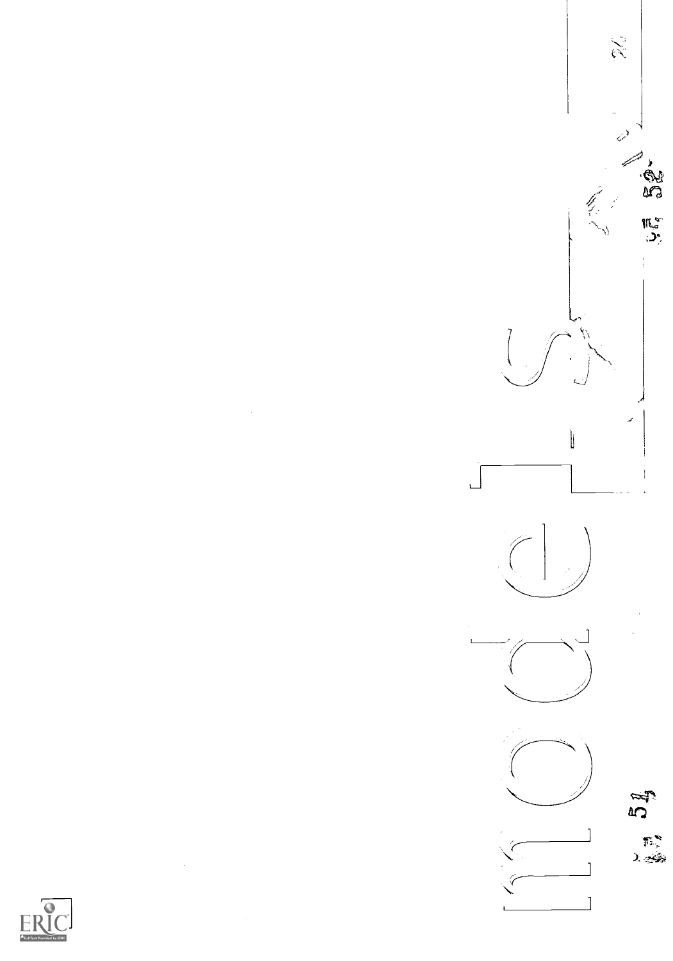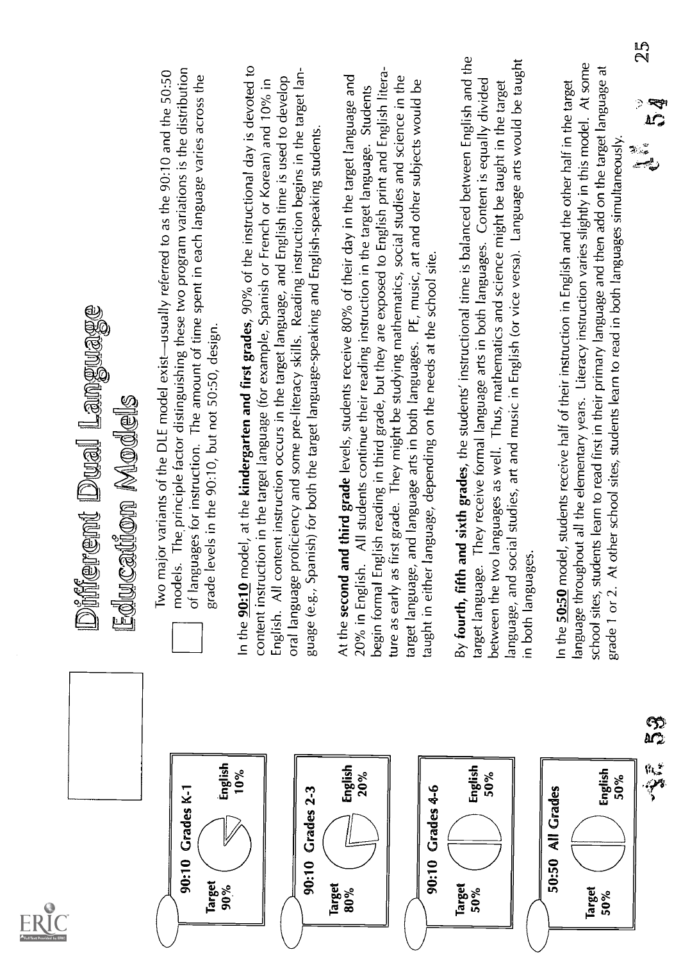









**EXAMPLE CONSECTED AND ACTION CONSECTED**<br> **EXAMPLE CONSECTED AND ACTION CONSECTED**<br> **EXAMPLE CONSECTED AND ACTION** CONSECTED AND ACTION CONSECTED AND CONSECTED AND CONSECTED AND CONSECTED AND CONSECTED AND CONSECTED AND C

্ৰ<br>১<br>? <del>ব</del>া

 $\frac{1}{2}$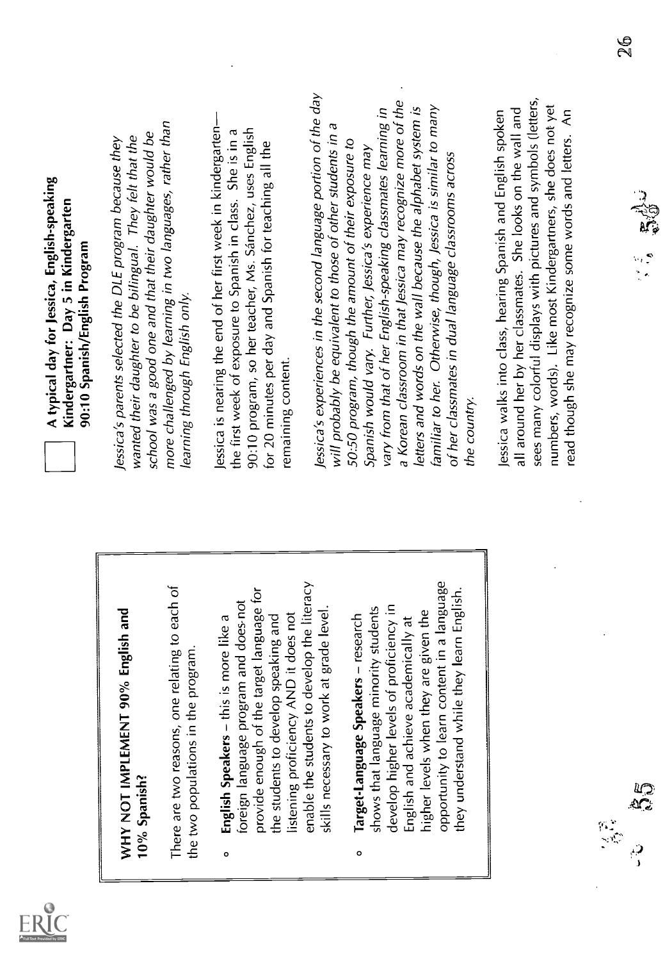| <b>Full Text Provided by ERIC</b> |
|-----------------------------------|

- 
- 

A repeat date to produce the state of the state of the state of the state of the state of the state of the state of the state of the state of the state of the state of the state of the state of the state of the state of t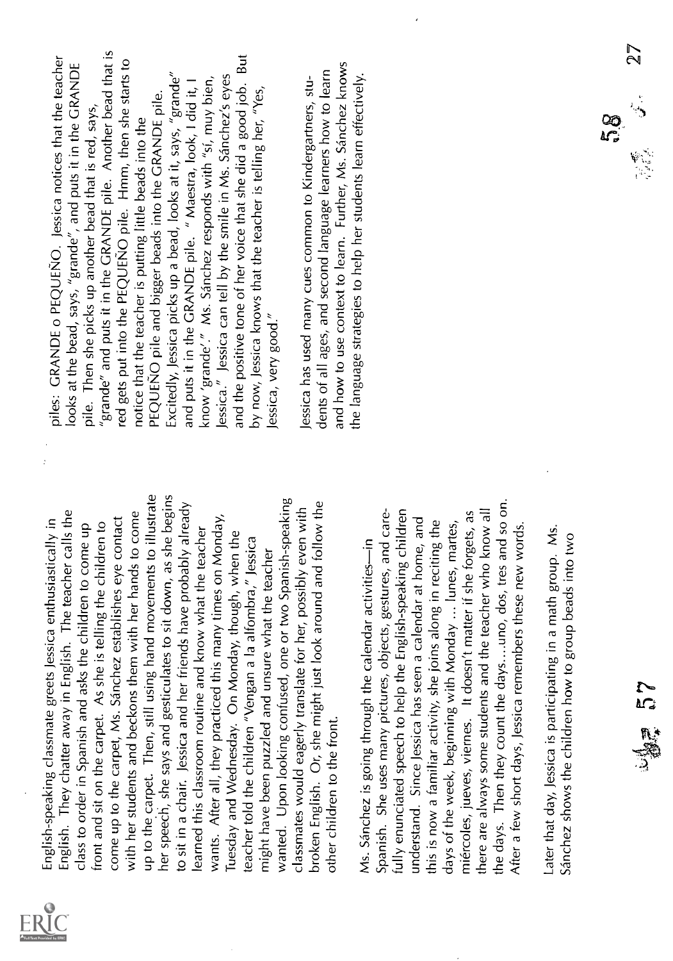

Expression the properties of the special point of the special point of the state of the state of the state of the state of the state of the state of the state of the state of the state of the state of the state of the sta

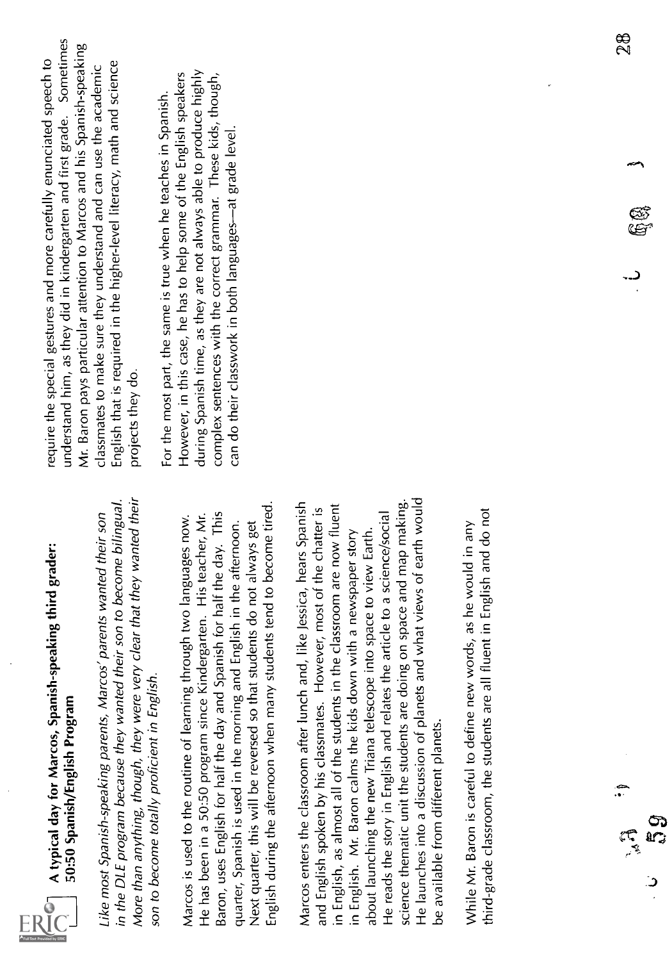| Full Text Provided by ERIC |  |
|----------------------------|--|

 $\frac{1}{\sqrt{2}}$  A physical day for Mayrian spacinity and spacing the spacing section in the state of the particle of the particle of the state of the state of the state of the state of the state of the state of the state of

E<br>G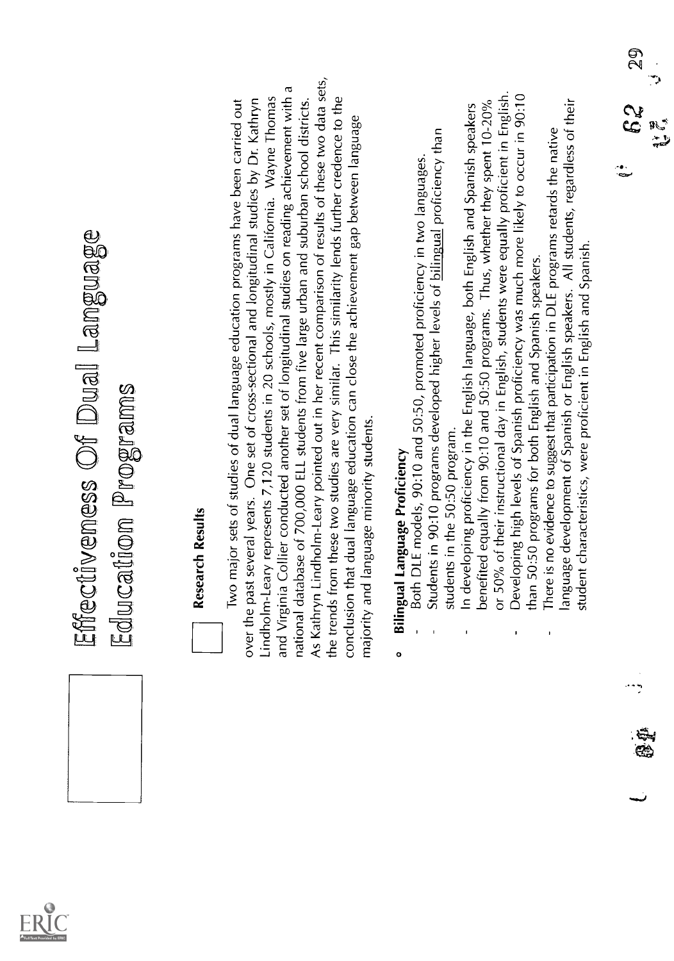Of Effecflvene§§ O IDu@A Lang age Educafion room m§ Research Results Two major sets of studies of dual language education programs have been carried out over the past several years. One set of cross-sectional and longitudinal studies by Dr. Kathryn Lindholm-Leary represents 7,120 students in 20 schools, mostly in California. Wayne Thomas and Virginia Collier conducted another set of longitudinal studies on reading achievement with a national database of 700,000 ELL students from five large urban and suburban school districts. As Kathryn Lindholm-Leary pointed out in her recent comparison of results of these two data sets, the trends from these two studies are very similar. This similarity lends further credence to the conclusion that dual language education can close the achievement gap between language majority and language minority students. Bilingual Language Proficiency Both DLE models, 90:10 and 50:50, promoted proficiency in two languages. Students in 90:10 programs developed higher levels of bilingual proficiency than students in the 50:50 program. In developing proficiency in the English language, both English and Spanish speakers benefited equally from 90:10 and 50:50 programs. Thus, whether they spent 10-20% or 50% of their instructional day in English, students were equally proficient in English. Developing high levels of Spanish proficiency was much more likely to occur in 90:10 than 50:50 programs for both English and Spanish speakers. There is no evidence to suggest that participation in DLE programs retards the native language development of Spanish or English speakers. All students, regardless of their student characteristics, were proficient in English and Spanish. 62 29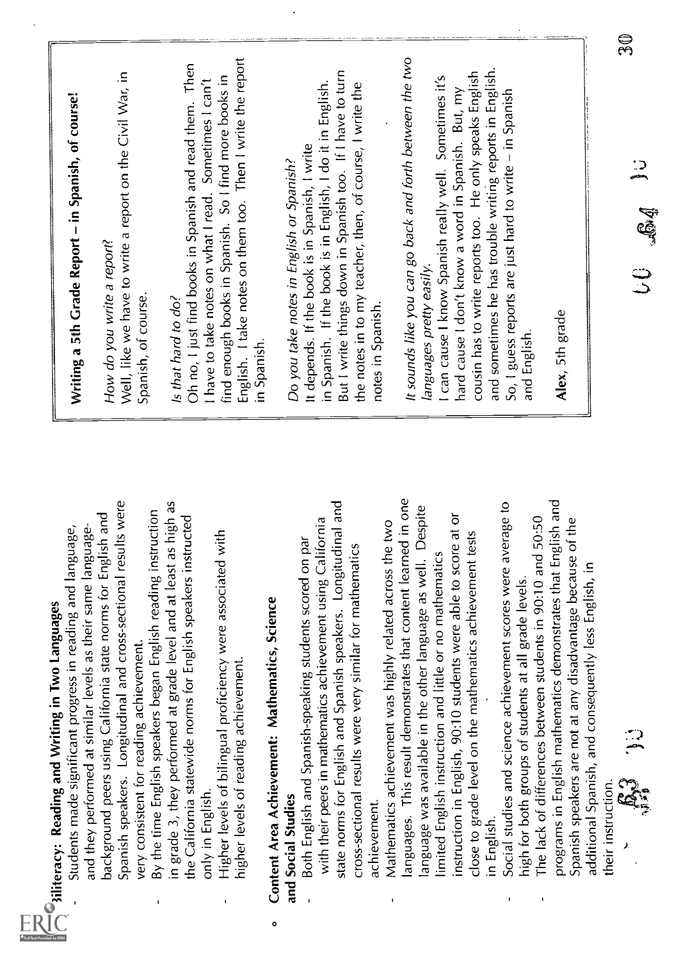| Writing a 5th Grade Report - in Spanish, of course!                                                                                                                                | Well, like we have to write a report on the Civil War, in<br>How do you write a report?<br>Spanish, of course.                                                                                                                                                      | English. I take notes on them too. Then I write the report<br>Oh no, I just find books in Spanish and read them. Then<br>find enough books in Spanish. So I find more books in<br>I have to take notes on what I read. Sometimes I can't<br>Is that hard to do?   | But I write things down in Spanish too. If I have to turn<br>in Spanish. If the book is in English, I do it in English.<br>the notes in to my teacher, then, of course, I write the<br>It depends. If the book is in Spanish, I write<br>Do you take notes in English or Spanish?<br>notes in Spanish.<br>in Spanish.                                   | It sounds like you can go back and forth between the two<br>and sometimes he has trouble writing reports in English.<br>cousin has to write reports too. He only speaks English<br>I can cause I know Spanish really well. Sometimes it's<br>hard cause I don't know a word in Spanish. But, my<br>So, I guess reports are just hard to write - in Spanish<br>languages pretty easily.                                                                                                                                                    | Alex, 5th grade<br>and English.                                                                                                                                                             | ್<br>$\ddot{ }$<br><b>DE 00</b>                                             |
|------------------------------------------------------------------------------------------------------------------------------------------------------------------------------------|---------------------------------------------------------------------------------------------------------------------------------------------------------------------------------------------------------------------------------------------------------------------|-------------------------------------------------------------------------------------------------------------------------------------------------------------------------------------------------------------------------------------------------------------------|---------------------------------------------------------------------------------------------------------------------------------------------------------------------------------------------------------------------------------------------------------------------------------------------------------------------------------------------------------|-------------------------------------------------------------------------------------------------------------------------------------------------------------------------------------------------------------------------------------------------------------------------------------------------------------------------------------------------------------------------------------------------------------------------------------------------------------------------------------------------------------------------------------------|---------------------------------------------------------------------------------------------------------------------------------------------------------------------------------------------|-----------------------------------------------------------------------------|
| and they performed at similar levels as their same language-<br>Students made significant progress in reading and language,<br>Languages<br>Siliteracy: Reading and Writing in Two | Spanish speakers. Longitudinal and cross-sectional results were<br>English reading instruction<br>background peers using California state norms for English and<br>very consistent for reading achievement.<br>By the time English speakers began<br>$\blacksquare$ | level and at least as high as<br>the California statewide norms for English speakers instructed<br>Higher levels of bilingual proficiency were associated with<br>higher levels of reading achievement<br>in grade 3, they performed at grade<br>only in English. | speakers. Longitudinal and<br>with their peers in mathematics achievement using California<br>Both English and Spanish-speaking students scored on par<br>cross-sectional results were very similar for mathematics<br>Content Area Achievement: Mathematics, Science<br>state norms for English and Spanish<br>and Social Studies<br>achievement.<br>۰ | that content learned in one<br>Social studies and science achievement scores were average to<br>language was available in the other language as well. Despite<br>instruction in English, 90:10 students were able to score at or<br>ly related across the two<br>close to grade level on the mathematics achievement tests<br>limited English instruction and little or no mathematics<br>high for both groups of students at all grade levels.<br>Mathematics achievement was highl<br>anguages. This result demonstrates<br>in English. | programs in English mathematics demonstrates that English and<br>The lack of differences between students in 90:10 and 50:50<br>Spanish speakers are not at any disadvantage because of the | additional Spanish, and consequently less English, in<br>their instruction. |

 $\ddot{\phantom{a}}$ 

 $\ominus$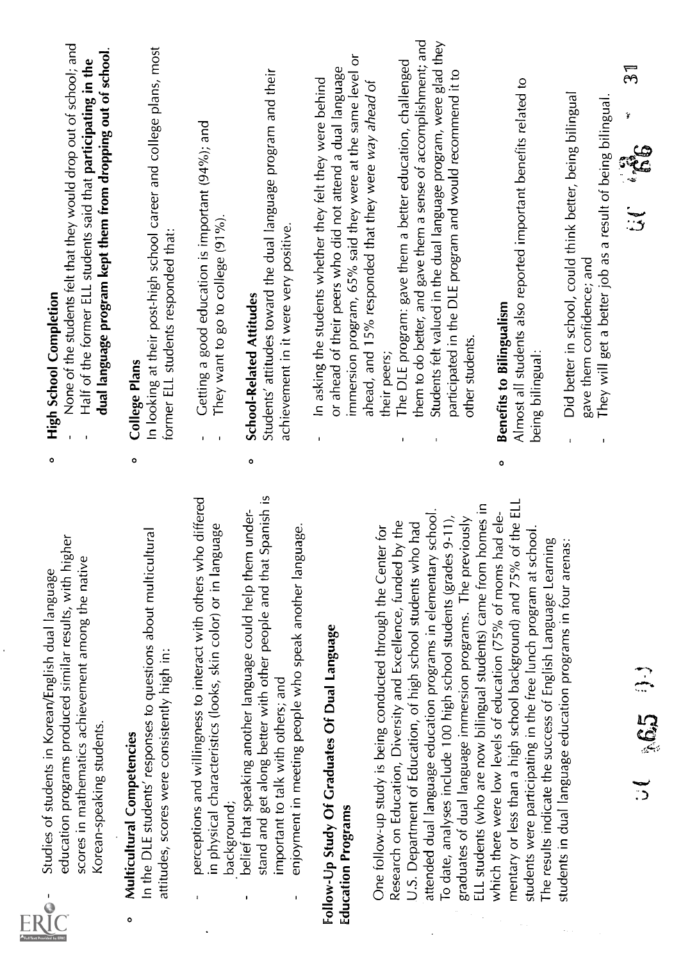| education programs produced similar results, with higher<br>among the native<br>Studies of students in Korean/English dual language<br>scores in mathematics achievement<br>Korean-speaking students.<br>$\frac{1}{2}$                                                                                                                                                                                                                                                        | $\circ$ | None of the students felt that they would drop out of school; and<br>dual language program kept them from dropping out of school.<br>Half of the former ELL students said that participating in the<br>High School Completion                                                                                                                             |
|-------------------------------------------------------------------------------------------------------------------------------------------------------------------------------------------------------------------------------------------------------------------------------------------------------------------------------------------------------------------------------------------------------------------------------------------------------------------------------|---------|-----------------------------------------------------------------------------------------------------------------------------------------------------------------------------------------------------------------------------------------------------------------------------------------------------------------------------------------------------------|
| In the DLE students' responses to questions about multicultural<br>attitudes, scores were consistently high in:<br>Multicultural Competencies<br>$\bullet$                                                                                                                                                                                                                                                                                                                    | $\circ$ | In looking at their post-high school career and college plans, most<br>former ELL students responded that:<br>College Plans                                                                                                                                                                                                                               |
| perceptions and willingness to interact with others who differed<br>in physical characteristics (looks, skin color) or in language<br>background;                                                                                                                                                                                                                                                                                                                             |         | Getting a good education is important (94%); and<br>They want to go to college (91%).                                                                                                                                                                                                                                                                     |
| stand and get along better with other people and that Spanish is<br>belief that speaking another language could help them under-<br>enjoyment in meeting people who speak another language.<br>important to talk with others; and                                                                                                                                                                                                                                             | ۰       | Students' attitudes toward the dual language program and their<br>achievement in it were very positive.<br>School-Related Attitudes                                                                                                                                                                                                                       |
| Follow-Up Study Of Graduates Of Dual Language<br><b>Education Programs</b>                                                                                                                                                                                                                                                                                                                                                                                                    |         | immersion program, 65% said they were at the same level or<br>or ahead of their peers who did not attend a dual language<br>In asking the students whether they felt they were behind                                                                                                                                                                     |
| ELL students (who are now bilingual students) came from homes in<br>attended dual language education programs in elementary school.<br>To date, analyses include 100 high school students (grades 9-11),<br>graduates of dual language immersion programs. The previously<br>Research on Education, Diversity and Excellence, funded by the<br>U.S. Department of Education, of high school students who had<br>One follow-up study is being conducted through the Center for |         | them to do better, and gave them a sense of accomplishment; and<br>Students felt valued in the dual language program, were glad they<br>The DLE program: gave them a better education, challenged<br>participated in the DLE program and would recommend it to<br>ahead, and 15% responded that they were way ahead of<br>other students.<br>their peers; |
| mentary or less than a high school background) and 75% of the ELL<br>which there were low levels of education (75% of moms had ele-<br>students were participating in the free lunch program at school.<br>The results indicate the success of English Language Learning                                                                                                                                                                                                      | ۰       | Almost all students also reported important benefits related to<br><b>Benefits to Bilingualism</b><br>being bilingual:                                                                                                                                                                                                                                    |
| students in dual language education programs in four arenas:                                                                                                                                                                                                                                                                                                                                                                                                                  |         | Did better in school, could think better, being bilingual<br>They will get a better job as a result of being bilingual.<br>gave them confidence; and                                                                                                                                                                                                      |
| $65 - 11$                                                                                                                                                                                                                                                                                                                                                                                                                                                                     |         | ಗ<br>ಅ<br>¥<br>GI AB                                                                                                                                                                                                                                                                                                                                      |
|                                                                                                                                                                                                                                                                                                                                                                                                                                                                               |         |                                                                                                                                                                                                                                                                                                                                                           |

 $\ddot{\phantom{0}}$ 

ided by ERIC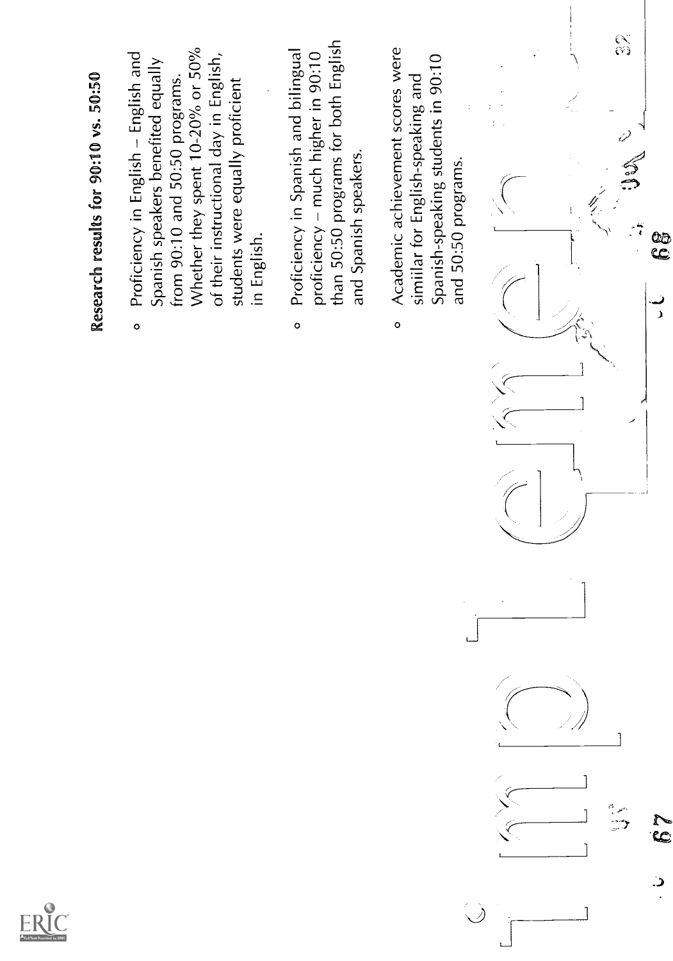| Research results for 90:10 vs. 50:50 | Whether they spent 10-20% or 50%<br>of their instructional day in English,<br>Proficiency in English - English and<br>Spanish speakers benefited equally<br>from 90:10 and 50:50 programs.<br>students were equally proficient<br>in English.<br>$\circ$ | proficiency – much higher in 90:10<br>than 50:50 programs for both English<br>Proficiency in Spanish and bilingual<br>and Spanish speakers.<br>$\circ$ | Academic achievement scores were<br>Spanish-speaking students in 90:10<br>simiilar for English-speaking and<br>and 50:50 programs.<br>$\circ$ | $\frac{1}{2}$<br>ed<br>C<br><sup>1</sup> |
|--------------------------------------|----------------------------------------------------------------------------------------------------------------------------------------------------------------------------------------------------------------------------------------------------------|--------------------------------------------------------------------------------------------------------------------------------------------------------|-----------------------------------------------------------------------------------------------------------------------------------------------|------------------------------------------|
|                                      |                                                                                                                                                                                                                                                          |                                                                                                                                                        |                                                                                                                                               | مراد<br>وس<br>e<br>S<br>د.               |

 $\mathop{\mathrm{ERIC}}_{\overbrace{\mathop{\mathrm{Funkar}}\limits_{\mathop{\mathrm{Perodides}\mathrm{by}\, \mathrm{EHC}}}}$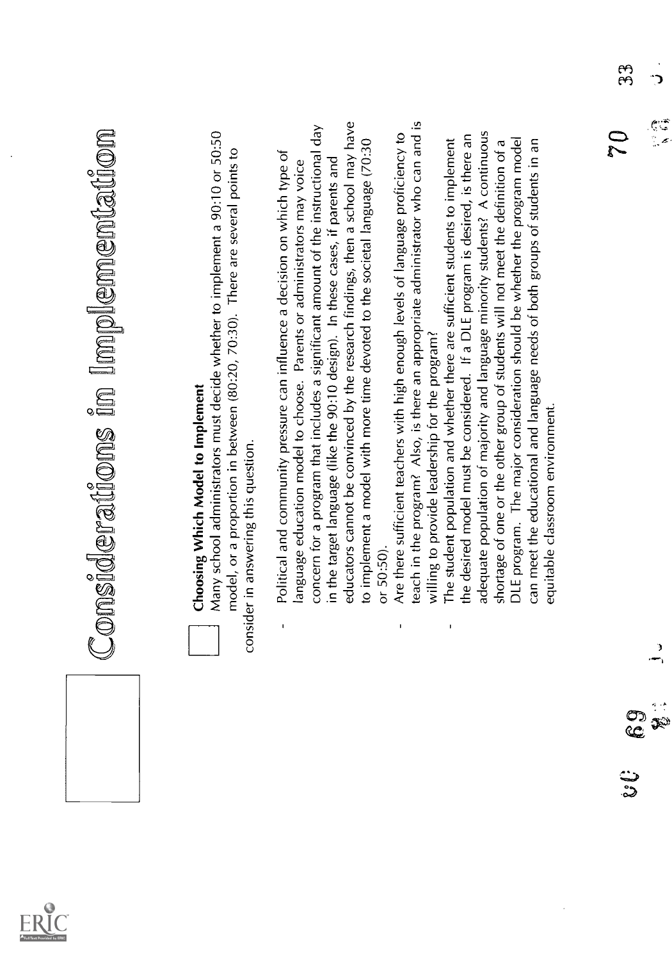| Full Text Provided by ERIC |
|----------------------------|

- 
- 
- C. CONSISTER THE RESULTING SET IN A REPORT OF A REPORT OF A REPORT OF A REPORT OF A REPORT OF A REPORT OF A REPORT OF A REPORT OF A REPORT OF A REPORT OF A REPORT OF A REPORT OF A REPORT OF A REPORT OF A REPORT OF A REPOR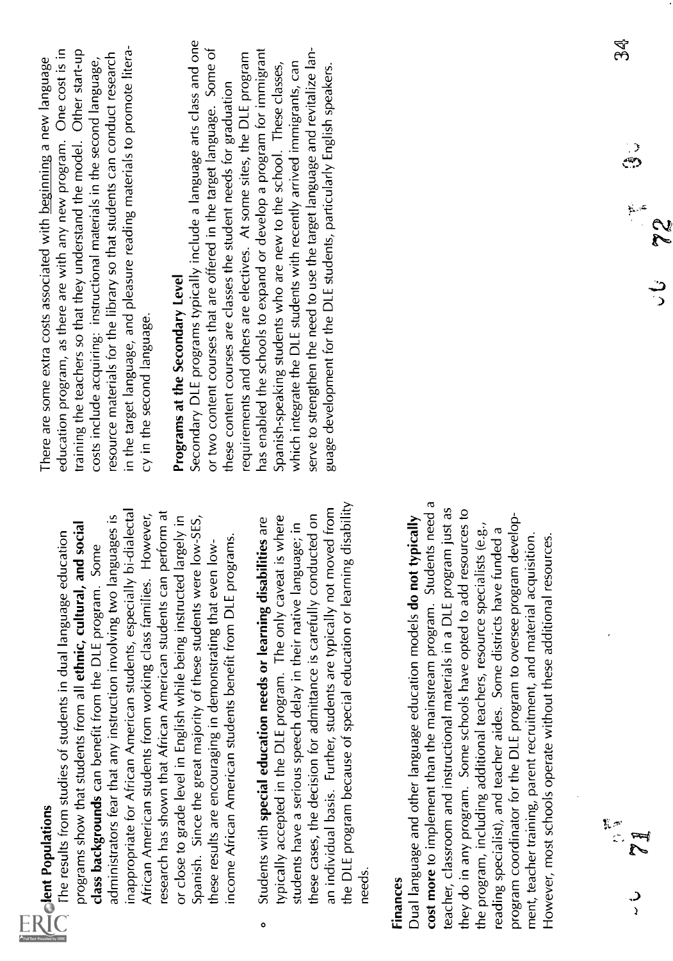| P<br>Ξ<br>D                 | ä<br>ļ |
|-----------------------------|--------|
| <b>Full Text Provided b</b> | ERIC   |

. The ROM-homogen of a subsequent and a subsequent of the state of the state of the state of the state of the state of the state of the state of the state of the state of the state of the state of the state of the stat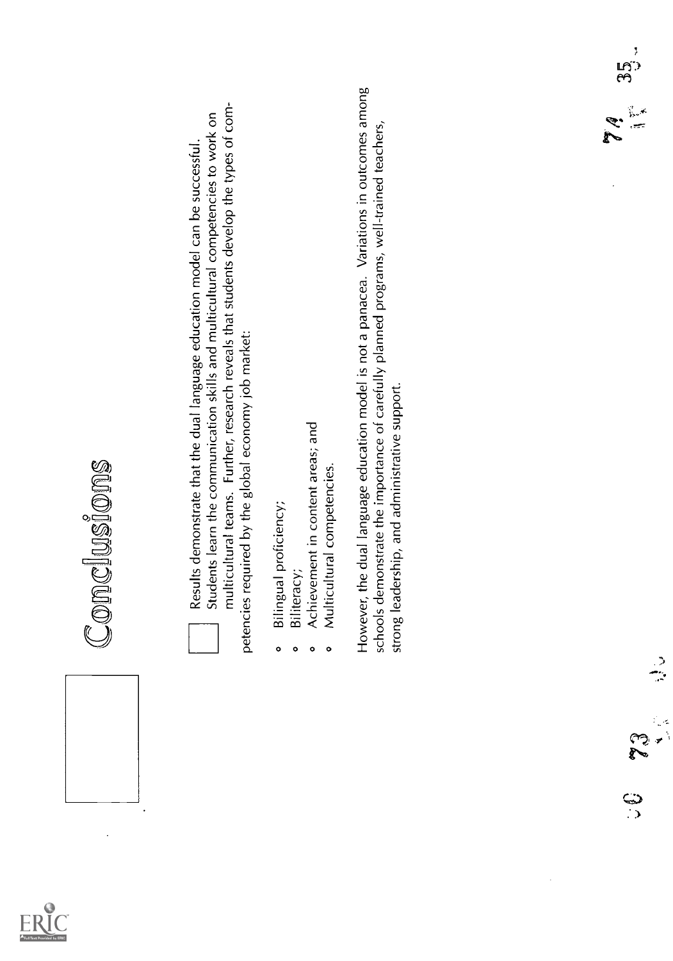



Research demonstrate that the diagnoge entailed random heads constant.<br>
Research demonstrate that the property of the property of the state of the specific connections of the property of the property of the specific the s

- 
- 
- 
- 

نټ<br>د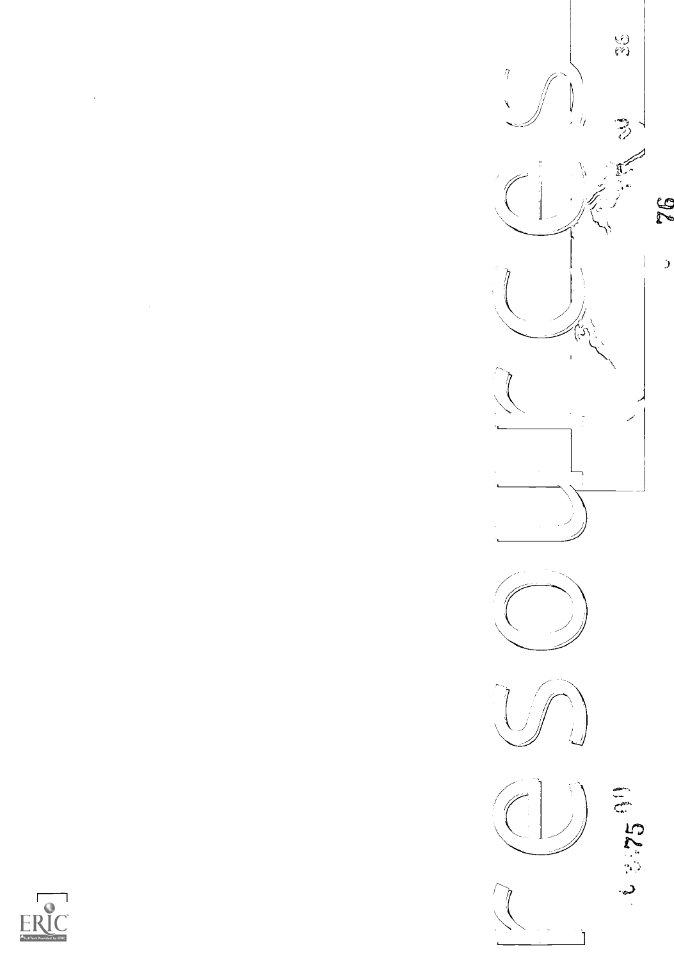









 $(16-22.5)$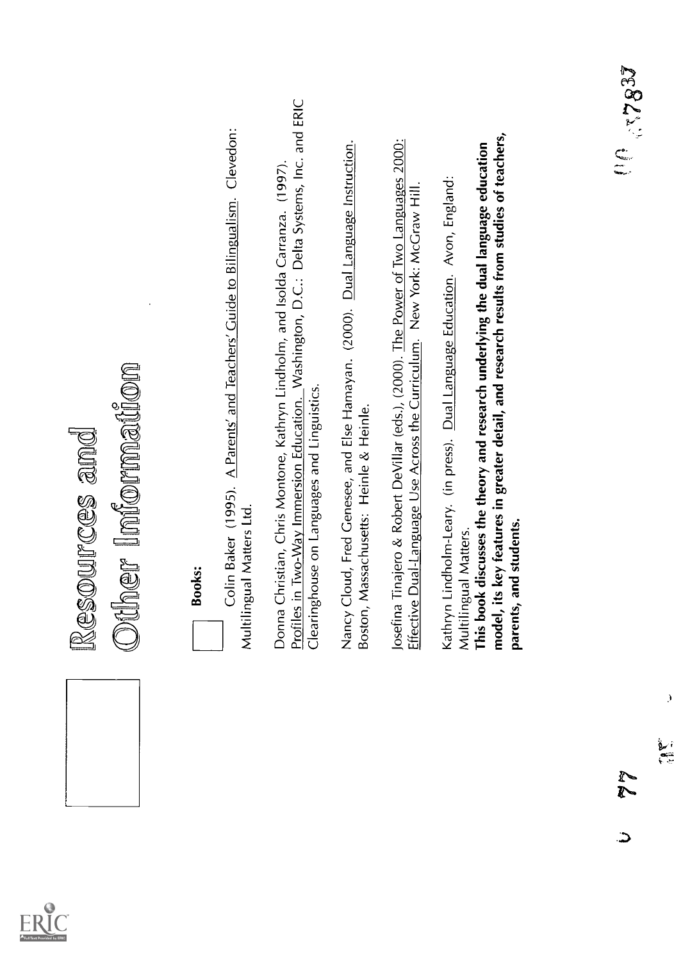



 $\begin{array}{l} \text{R}\mathcal{L}\oplus\mathcal{L}\oplus\mathcal{L}\oplus\mathcal{L}\oplus\mathcal{L}\oplus\mathcal{L}\oplus\mathcal{L}\oplus\mathcal{L}\oplus\mathcal{L}\oplus\mathcal{L}\oplus\mathcal{L}\oplus\mathcal{L}\oplus\mathcal{L}\oplus\mathcal{L}\oplus\mathcal{L}\oplus\mathcal{L}\oplus\mathcal{L}\oplus\mathcal{L}\oplus\mathcal{L}\oplus\mathcal{L}\oplus\mathcal{L}\oplus\mathcal{L}\oplus\mathcal{L}\oplus\mathcal{L}\oplus\mathcal{L}\oplus\mathcal{L}\oplus\$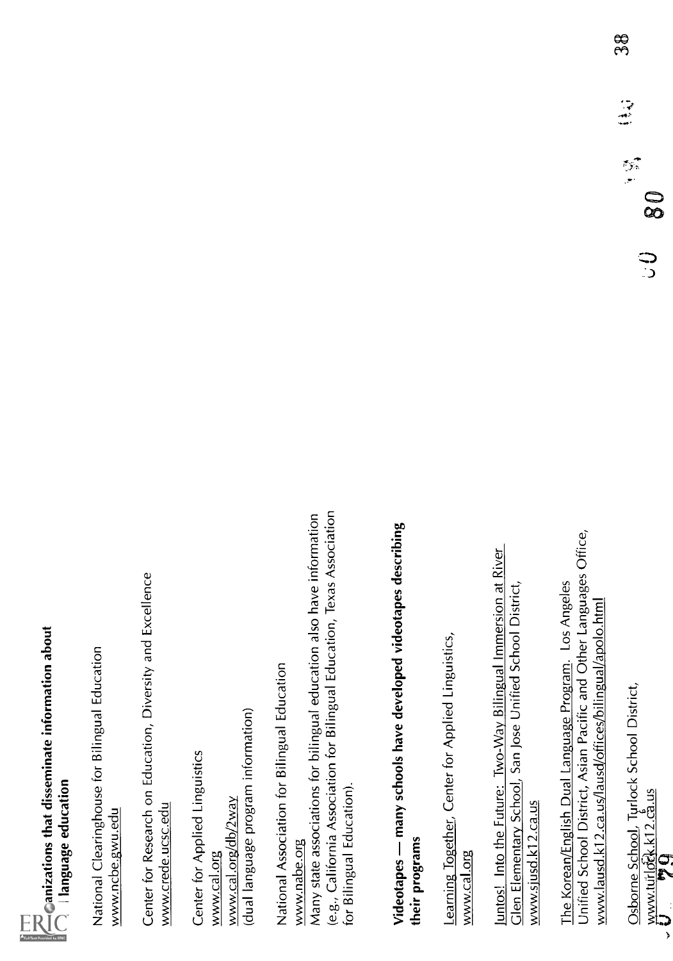

 $\frac{1}{1}$  calculates that disseminate information about<br>
standards that disseminate information about<br>
standards of finite in the standard Education<br>
Contex in Applied Linguistics<br>
Contex in Applied Linguistics<br>
Notice in

en<br>E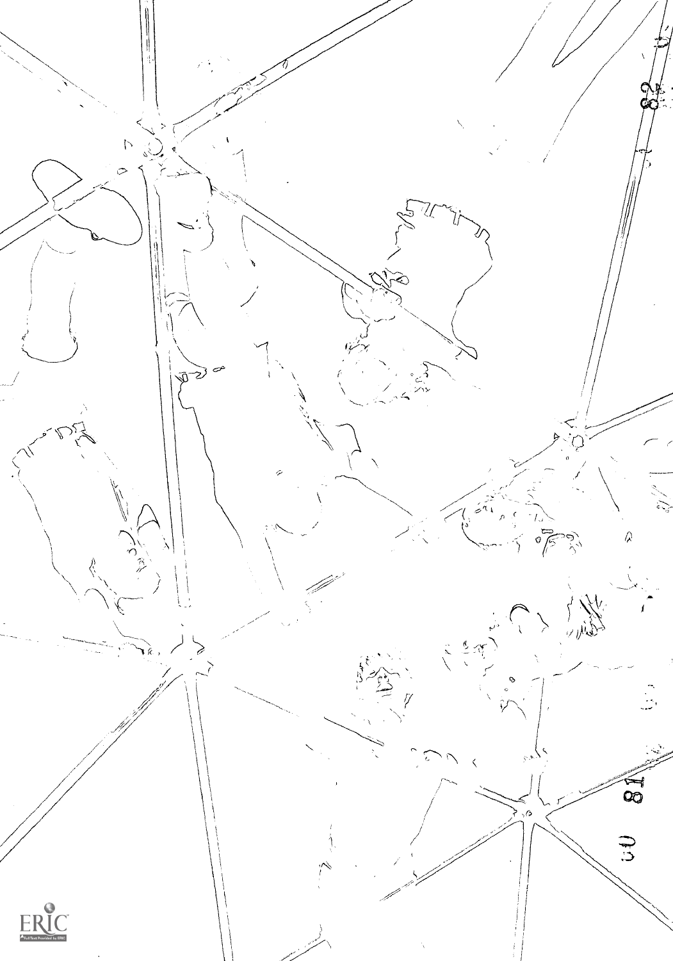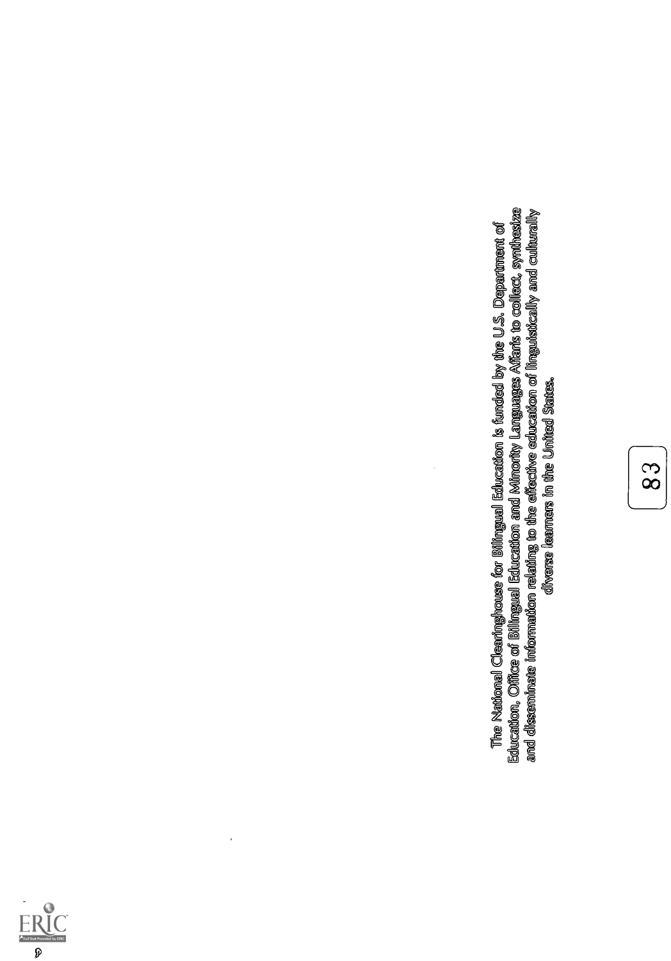diverse learners in the United States.

83

Education, Office of Billingual Education and Minority Languages Affaris to collect, synthesize<br>and disseminate information relating to the effective education of linguistically and culturally The National Clearinghouse for Billingual Education is funded by the U.S. Department of

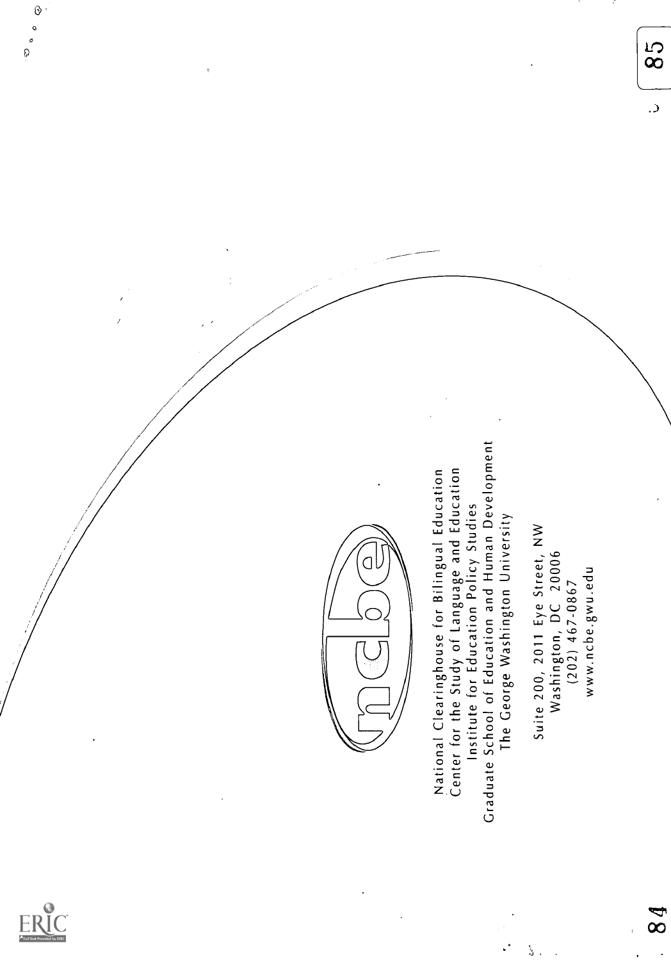

 $\odot$  $\circ$ 

Q



National Clearinghouse for Bilingual Education<br>Center for the Study of Language and Education<br>Institute for Education Policy Studies<br>Graduate School of Education and Human Development<br>The George Washington University<br>Suite

 $\ddot{\cdot}$ l, 84

 $\ddot{\phantom{0}}$ 

58